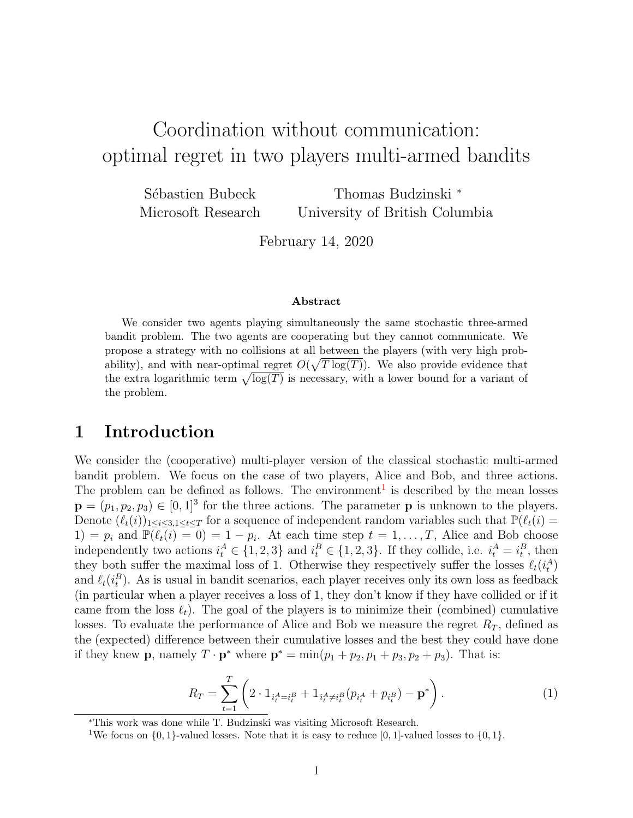# Coordination without communication: optimal regret in two players multi-armed bandits

Sébastien Bubeck Microsoft Research Thomas Budzinski <sup>∗</sup> University of British Columbia

February 14, 2020

#### Abstract

We consider two agents playing simultaneously the same stochastic three-armed bandit problem. The two agents are cooperating but they cannot communicate. We propose a strategy with no collisions at all between the players (with very high probability), and with near-optimal regret  $O(\sqrt{T \log(T)})$ . We also provide evidence that the extra logarithmic term  $\sqrt{\log(T)}$  is necessary, with a lower bound for a variant of the problem.

# 1 Introduction

We consider the (cooperative) multi-player version of the classical stochastic multi-armed bandit problem. We focus on the case of two players, Alice and Bob, and three actions. The problem can be defined as follows. The environment<sup>[1](#page-0-0)</sup> is described by the mean losses  $\mathbf{p} = (p_1, p_2, p_3) \in [0, 1]^3$  for the three actions. The parameter **p** is unknown to the players. Denote  $(\ell_t(i))_{1\leq i\leq 3,1\leq t\leq T}$  for a sequence of independent random variables such that  $\mathbb{P}(\ell_t(i) =$ 1) =  $p_i$  and  $\mathbb{P}(\ell_t(i) = 0) = 1 - p_i$ . At each time step  $t = 1, \ldots, T$ , Alice and Bob choose independently two actions  $i_t^A \in \{1, 2, 3\}$  and  $i_t^B \in \{1, 2, 3\}$ . If they collide, i.e.  $i_t^A = i_t^B$ , then they both suffer the maximal loss of 1. Otherwise they respectively suffer the losses  $\ell_t(i_t^A)$ and  $\ell_t(i_t^B)$ . As is usual in bandit scenarios, each player receives only its own loss as feedback (in particular when a player receives a loss of 1, they don't know if they have collided or if it came from the loss  $\ell_t$ ). The goal of the players is to minimize their (combined) cumulative losses. To evaluate the performance of Alice and Bob we measure the regret  $R_T$ , defined as the (expected) difference between their cumulative losses and the best they could have done if they knew **p**, namely  $T \cdot \mathbf{p}^*$  where  $\mathbf{p}^* = \min(p_1 + p_2, p_1 + p_3, p_2 + p_3)$ . That is:

<span id="page-0-1"></span>
$$
R_T = \sum_{t=1}^T \left( 2 \cdot \mathbb{1}_{i_t^A = i_t^B} + \mathbb{1}_{i_t^A \neq i_t^B} (p_{i_t^A} + p_{i_t^B}) - \mathbf{p}^* \right). \tag{1}
$$

<sup>∗</sup>This work was done while T. Budzinski was visiting Microsoft Research.

<span id="page-0-0"></span><sup>&</sup>lt;sup>1</sup>We focus on  $\{0, 1\}$ -valued losses. Note that it is easy to reduce [0, 1]-valued losses to  $\{0, 1\}$ .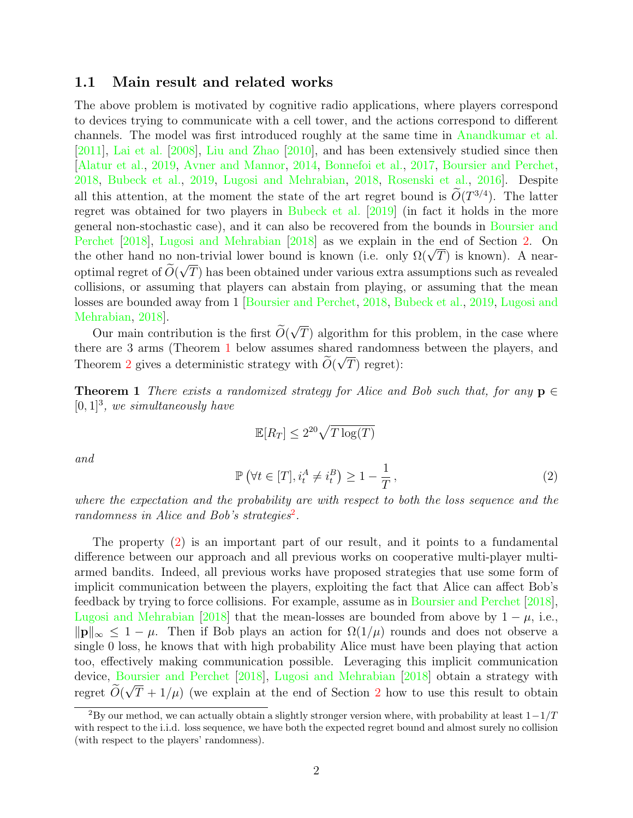### 1.1 Main result and related works

The above problem is motivated by cognitive radio applications, where players correspond to devices trying to communicate with a cell tower, and the actions correspond to different channels. The model was first introduced roughly at the same time in [Anandkumar et al.](#page-26-0) [\[2011\]](#page-26-0), [Lai et al.](#page-27-0) [\[2008\]](#page-27-0), [Liu and Zhao](#page-27-1) [\[2010\]](#page-27-1), and has been extensively studied since then [\[Alatur et al.,](#page-26-1) [2019,](#page-26-1) [Avner and Mannor,](#page-26-2) [2014,](#page-26-2) [Bonnefoi et al.,](#page-26-3) [2017,](#page-26-3) [Boursier and Perchet,](#page-26-4) [2018,](#page-26-4) [Bubeck et al.,](#page-26-5) [2019,](#page-26-5) [Lugosi and Mehrabian,](#page-27-2) [2018,](#page-27-2) [Rosenski et al.,](#page-27-3) [2016\]](#page-27-3). Despite all this attention, at the moment the state of the art regret bound is  $O(T^{3/4})$ . The latter regret was obtained for two players in [Bubeck et al.](#page-26-5) [\[2019\]](#page-26-5) (in fact it holds in the more general non-stochastic case), and it can also be recovered from the bounds in [Boursier and](#page-26-4) [Perchet](#page-26-4) [\[2018\]](#page-26-4), [Lugosi and Mehrabian](#page-27-2) [\[2018\]](#page-27-2) as we explain in the end of Section [2.](#page-3-0) On Ferchet [2018], Lugosi and Menrabian [2018] as we explain in the end of Section 2. On<br>the other hand no non-trivial lower bound is known (i.e. only  $\Omega(\sqrt{T})$  is known). A nearoptimal regret of  $O(\sqrt{T})$  has been obtained under various extra assumptions such as revealed collisions, or assuming that players can abstain from playing, or assuming that the mean losses are bounded away from 1 [\[Boursier and Perchet,](#page-26-4) [2018,](#page-26-4) [Bubeck et al.,](#page-26-5) [2019,](#page-26-5) [Lugosi and](#page-27-2) [Mehrabian,](#page-27-2) [2018\]](#page-27-2). √

Our main contribution is the first  $O(\frac{m}{\epsilon})$ T) algorithm for this problem, in the case where there are 3 arms (Theorem [1](#page-1-0) below assumes shared randomness between the players, and Theorem [2](#page-2-0) gives a deterministic strategy with  $O(\sqrt{T})$  regret):

<span id="page-1-0"></span>**Theorem 1** There exists a randomized strategy for Alice and Bob such that, for any  $p \in$  $[0, 1]^3$ , we simultaneously have

$$
\mathbb{E}[R_T] \le 2^{20} \sqrt{T \log(T)}
$$

<span id="page-1-2"></span>and

$$
\mathbb{P}\left(\forall t \in [T], i_t^A \neq i_t^B\right) \ge 1 - \frac{1}{T},\tag{2}
$$

where the expectation and the probability are with respect to both the loss sequence and the randomness in Alice and Bob's strategies<sup>[2](#page-1-1)</sup>.

The property [\(2\)](#page-1-2) is an important part of our result, and it points to a fundamental difference between our approach and all previous works on cooperative multi-player multiarmed bandits. Indeed, all previous works have proposed strategies that use some form of implicit communication between the players, exploiting the fact that Alice can affect Bob's feedback by trying to force collisions. For example, assume as in [Boursier and Perchet](#page-26-4) [\[2018\]](#page-26-4), [Lugosi and Mehrabian](#page-27-2) [\[2018\]](#page-27-2) that the mean-losses are bounded from above by  $1 - \mu$ , i.e.,  $\|\mathbf{p}\|_{\infty} \leq 1 - \mu$ . Then if Bob plays an action for  $\Omega(1/\mu)$  rounds and does not observe a single 0 loss, he knows that with high probability Alice must have been playing that action too, effectively making communication possible. Leveraging this implicit communication device, [Boursier and Perchet](#page-26-4) [\[2018\]](#page-27-2), [Lugosi and Mehrabian](#page-27-2) [2018] obtain a strategy with regret  $O(\sqrt{T} + 1/\mu)$  (we explain at the end of Section [2](#page-3-0) how to use this result to obtain

<span id="page-1-1"></span><sup>&</sup>lt;sup>2</sup>By our method, we can actually obtain a slightly stronger version where, with probability at least  $1-1/T$ with respect to the i.i.d. loss sequence, we have both the expected regret bound and almost surely no collision (with respect to the players' randomness).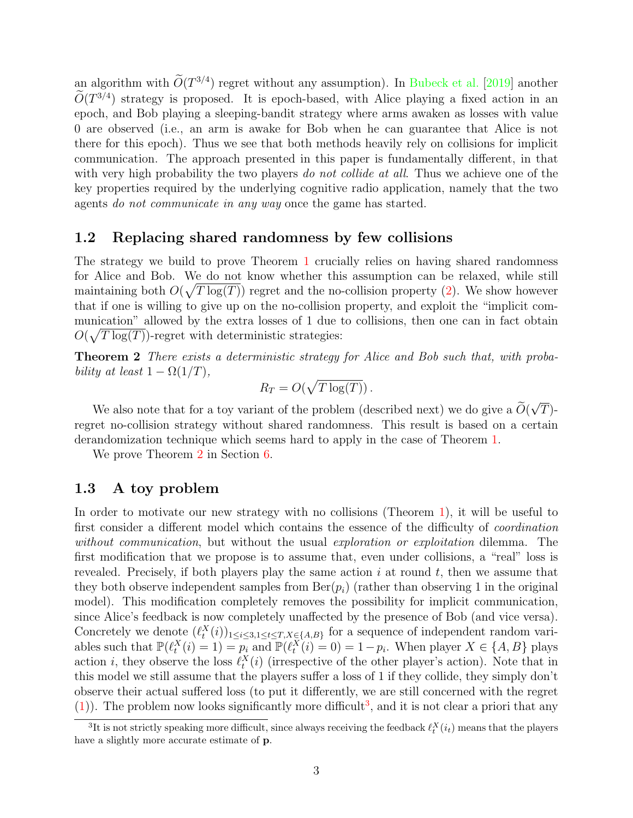an algorithm with  $\tilde{O}(T^{3/4})$  regret without any assumption). In [Bubeck et al.](#page-26-5) [\[2019\]](#page-26-5) another  $\tilde{O}(T^{3/4})$  strategy is proposed. It is epoch-based, with Alice playing a fixed action in an epoch, and Bob playing a sleeping-bandit strategy where arms awaken as losses with value 0 are observed (i.e., an arm is awake for Bob when he can guarantee that Alice is not there for this epoch). Thus we see that both methods heavily rely on collisions for implicit communication. The approach presented in this paper is fundamentally different, in that with very high probability the two players do not collide at all. Thus we achieve one of the key properties required by the underlying cognitive radio application, namely that the two agents do not communicate in any way once the game has started.

### 1.2 Replacing shared randomness by few collisions

The strategy we build to prove Theorem [1](#page-1-0) crucially relies on having shared randomness for Alice and Bob. We do not know whether this assumption can be relaxed, while still maintaining both  $O(\sqrt{T \log(T)})$  regret and the no-collision property [\(2\)](#page-1-2). We show however that if one is willing to give up on the no-collision property, and exploit the "implicit communication" allowed by the extra losses of 1 due to collisions, then one can in fact obtain  $O(\sqrt{T \log(T)})$ -regret with deterministic strategies:

<span id="page-2-0"></span>Theorem 2 There exists a deterministic strategy for Alice and Bob such that, with probability at least  $1 - \Omega(1/T)$ ,

$$
R_T = O(\sqrt{T \log(T)})
$$

We also note that for a toy variant of the problem (described next) we do give a  $O(\frac{m}{\epsilon})$ √  $T)$ regret no-collision strategy without shared randomness. This result is based on a certain derandomization technique which seems hard to apply in the case of Theorem [1.](#page-1-0)

We prove Theorem [2](#page-2-0) in Section [6.](#page-23-0)

### 1.3 A toy problem

In order to motivate our new strategy with no collisions (Theorem [1\)](#page-1-0), it will be useful to first consider a different model which contains the essence of the difficulty of coordination without communication, but without the usual exploration or exploitation dilemma. The first modification that we propose is to assume that, even under collisions, a "real" loss is revealed. Precisely, if both players play the same action  $i$  at round  $t$ , then we assume that they both observe independent samples from  $\text{Ber}(p_i)$  (rather than observing 1 in the original model). This modification completely removes the possibility for implicit communication, since Alice's feedback is now completely unaffected by the presence of Bob (and vice versa). Concretely we denote  $(\ell_t^X(i))_{1 \leq i \leq 3, 1 \leq t \leq T, X \in \{A, B\}}$  for a sequence of independent random variables such that  $\mathbb{P}(\ell_t^X(i) = 1) = p_i$  and  $\mathbb{P}(\ell_t^X(i) = 0) = 1 - p_i$ . When player  $X \in \{A, B\}$  plays action *i*, they observe the loss  $\ell_t^X(i)$  (irrespective of the other player's action). Note that in this model we still assume that the players suffer a loss of 1 if they collide, they simply don't observe their actual suffered loss (to put it differently, we are still concerned with the regret  $(1)$ ). The problem now looks significantly more difficult<sup>[3](#page-2-1)</sup>, and it is not clear a priori that any

<span id="page-2-1"></span><sup>&</sup>lt;sup>3</sup>It is not strictly speaking more difficult, since always receiving the feedback  $\ell_t^X(i_t)$  means that the players have a slightly more accurate estimate of p.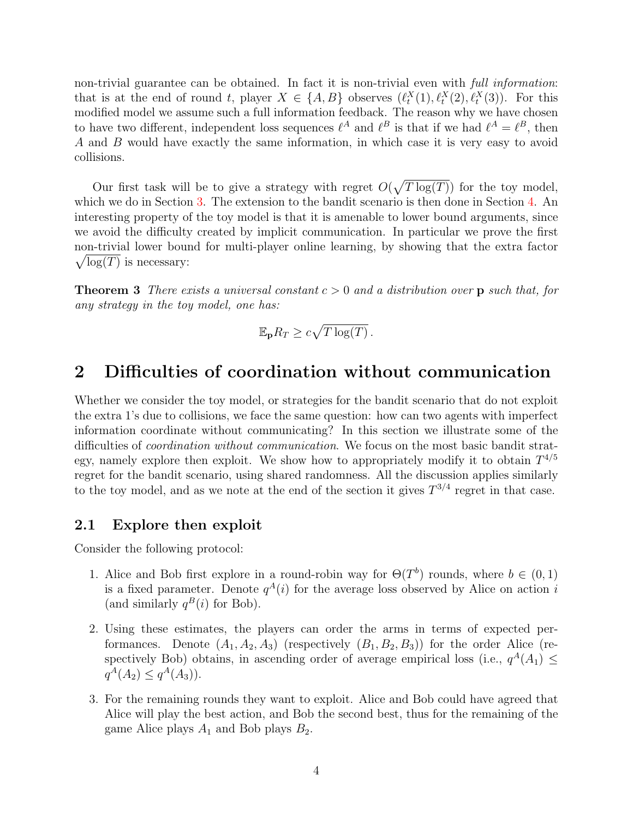non-trivial guarantee can be obtained. In fact it is non-trivial even with *full information*: that is at the end of round t, player  $X \in \{A, B\}$  observes  $(\ell_t^X(1), \ell_t^X(2), \ell_t^X(3))$ . For this modified model we assume such a full information feedback. The reason why we have chosen to have two different, independent loss sequences  $\ell^A$  and  $\ell^B$  is that if we had  $\ell^A = \ell^B$ , then A and B would have exactly the same information, in which case it is very easy to avoid collisions.

Our first task will be to give a strategy with regret  $O(\sqrt{T \log(T)})$  for the toy model, which we do in Section [3.](#page-5-0) The extension to the bandit scenario is then done in Section [4.](#page-10-0) An interesting property of the toy model is that it is amenable to lower bound arguments, since we avoid the difficulty created by implicit communication. In particular we prove the first non-trivial lower bound for multi-player online learning, by showing that the extra factor  $\sqrt{\log(T)}$  is necessary:

<span id="page-3-1"></span>**Theorem 3** There exists a universal constant  $c > 0$  and a distribution over p such that, for any strategy in the toy model, one has:

$$
\mathbb{E}_{\mathbf{p}} R_T \ge c\sqrt{T \log(T)}.
$$

# <span id="page-3-0"></span>2 Difficulties of coordination without communication

Whether we consider the toy model, or strategies for the bandit scenario that do not exploit the extra 1's due to collisions, we face the same question: how can two agents with imperfect information coordinate without communicating? In this section we illustrate some of the difficulties of coordination without communication. We focus on the most basic bandit strategy, namely explore then exploit. We show how to appropriately modify it to obtain  $T^{4/5}$ regret for the bandit scenario, using shared randomness. All the discussion applies similarly to the toy model, and as we note at the end of the section it gives  $T^{3/4}$  regret in that case.

### 2.1 Explore then exploit

Consider the following protocol:

- 1. Alice and Bob first explore in a round-robin way for  $\Theta(T^b)$  rounds, where  $b \in (0,1)$ is a fixed parameter. Denote  $q^{A}(i)$  for the average loss observed by Alice on action i (and similarly  $q^B(i)$  for Bob).
- 2. Using these estimates, the players can order the arms in terms of expected performances. Denote  $(A_1, A_2, A_3)$  (respectively  $(B_1, B_2, B_3)$ ) for the order Alice (respectively Bob) obtains, in ascending order of average empirical loss (i.e.,  $q^A(A_1) \leq$  $q^A(A_2) \leq q^A(A_3)$ .
- 3. For the remaining rounds they want to exploit. Alice and Bob could have agreed that Alice will play the best action, and Bob the second best, thus for the remaining of the game Alice plays  $A_1$  and Bob plays  $B_2$ .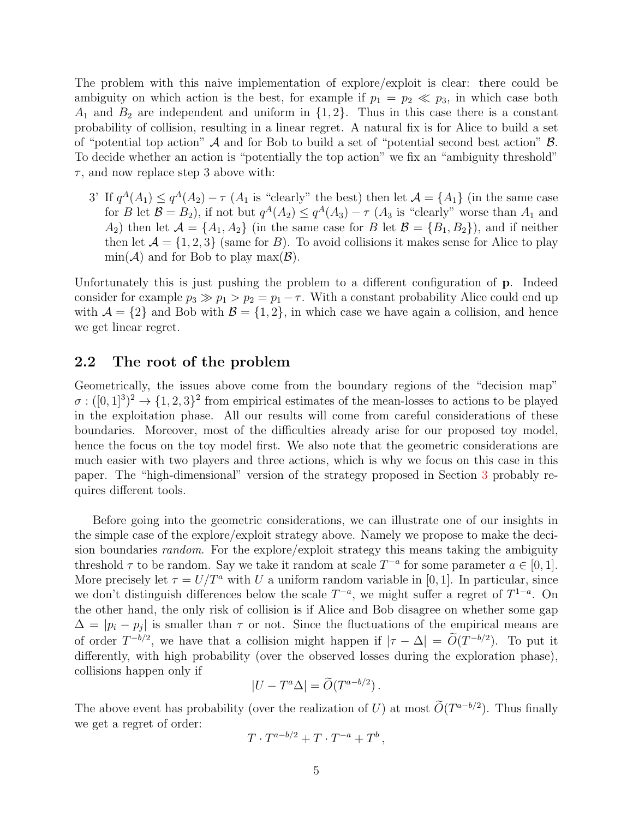The problem with this naive implementation of explore/exploit is clear: there could be ambiguity on which action is the best, for example if  $p_1 = p_2 \ll p_3$ , in which case both  $A_1$  and  $B_2$  are independent and uniform in  $\{1, 2\}$ . Thus in this case there is a constant probability of collision, resulting in a linear regret. A natural fix is for Alice to build a set of "potential top action"  $A$  and for Bob to build a set of "potential second best action"  $B$ . To decide whether an action is "potentially the top action" we fix an "ambiguity threshold"  $\tau$ , and now replace step 3 above with:

3' If  $q^A(A_1) \leq q^A(A_2) - \tau$  ( $A_1$  is "clearly" the best) then let  $\mathcal{A} = \{A_1\}$  (in the same case for B let  $\mathcal{B} = B_2$ ), if not but  $q^A(A_2) \le q^A(A_3) - \tau(A_3)$  is "clearly" worse than  $A_1$  and  $A_2$ ) then let  $\mathcal{A} = \{A_1, A_2\}$  (in the same case for B let  $\mathcal{B} = \{B_1, B_2\}$ ), and if neither then let  $\mathcal{A} = \{1, 2, 3\}$  (same for B). To avoid collisions it makes sense for Alice to play  $min(\mathcal{A})$  and for Bob to play  $max(\mathcal{B})$ .

Unfortunately this is just pushing the problem to a different configuration of p. Indeed consider for example  $p_3 \gg p_1 > p_2 = p_1 - \tau$ . With a constant probability Alice could end up with  $\mathcal{A} = \{2\}$  and Bob with  $\mathcal{B} = \{1, 2\}$ , in which case we have again a collision, and hence we get linear regret.

### 2.2 The root of the problem

Geometrically, the issues above come from the boundary regions of the "decision map"  $\sigma: ([0,1]^3)^2 \to \{1,2,3\}^2$  from empirical estimates of the mean-losses to actions to be played in the exploitation phase. All our results will come from careful considerations of these boundaries. Moreover, most of the difficulties already arise for our proposed toy model, hence the focus on the toy model first. We also note that the geometric considerations are much easier with two players and three actions, which is why we focus on this case in this paper. The "high-dimensional" version of the strategy proposed in Section [3](#page-5-0) probably requires different tools.

Before going into the geometric considerations, we can illustrate one of our insights in the simple case of the explore/exploit strategy above. Namely we propose to make the decision boundaries random. For the explore/exploit strategy this means taking the ambiguity threshold  $\tau$  to be random. Say we take it random at scale  $T^{-a}$  for some parameter  $a \in [0, 1]$ . More precisely let  $\tau = U/T^a$  with U a uniform random variable in [0, 1]. In particular, since we don't distinguish differences below the scale  $T^{-a}$ , we might suffer a regret of  $T^{1-a}$ . On the other hand, the only risk of collision is if Alice and Bob disagree on whether some gap  $\Delta = |p_i - p_j|$  is smaller than  $\tau$  or not. Since the fluctuations of the empirical means are of order  $T^{-b/2}$ , we have that a collision might happen if  $|\tau - \Delta| = O(T^{-b/2})$ . To put it differently, with high probability (over the observed losses during the exploration phase), collisions happen only if

$$
|U - T^a \Delta| = \widetilde{O}(T^{a - b/2}).
$$

The above event has probability (over the realization of U) at most  $\tilde{O}(T^{a-b/2})$ . Thus finally we get a regret of order:

$$
T \cdot T^{a-b/2} + T \cdot T^{-a} + T^b,
$$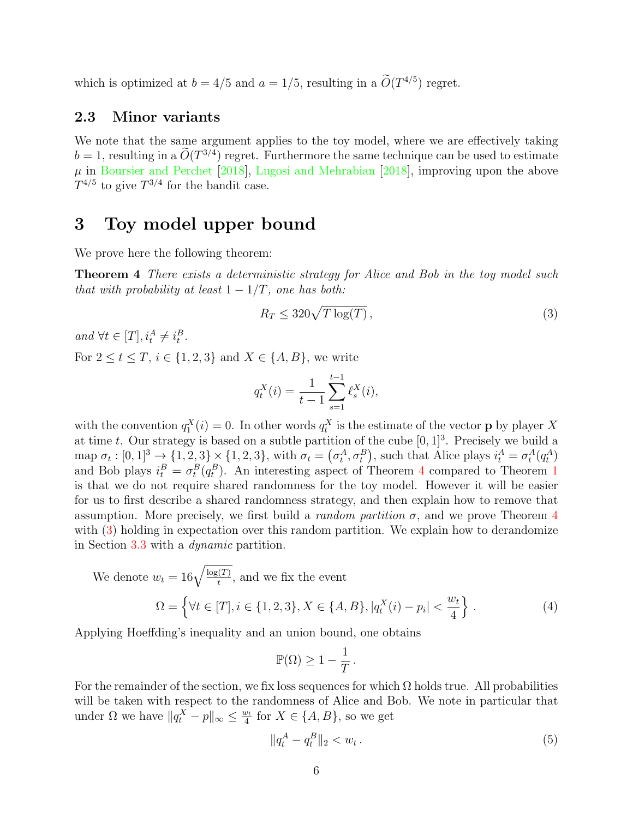which is optimized at  $b = 4/5$  and  $a = 1/5$ , resulting in a  $\tilde{O}(T^{4/5})$  regret.

### 2.3 Minor variants

We note that the same argument applies to the toy model, where we are effectively taking  $b = 1$ , resulting in a  $\tilde{O}(T^{3/4})$  regret. Furthermore the same technique can be used to estimate  $\mu$  in [Boursier and Perchet](#page-26-4) [\[2018\]](#page-27-2), [Lugosi and Mehrabian](#page-27-2) [2018], improving upon the above  $T^{4/5}$  to give  $T^{3/4}$  for the bandit case.

# <span id="page-5-0"></span>3 Toy model upper bound

We prove here the following theorem:

**Theorem 4** There exists a deterministic strategy for Alice and Bob in the toy model such that with probability at least  $1 - 1/T$ , one has both:

<span id="page-5-2"></span><span id="page-5-1"></span>
$$
R_T \le 320\sqrt{T\log(T)},\tag{3}
$$

and  $\forall t \in [T], i_t^A \neq i_t^B$ . For  $2 \leq t \leq T$ ,  $i \in \{1, 2, 3\}$  and  $X \in \{A, B\}$ , we write

$$
q_t^X(i) = \frac{1}{t-1} \sum_{s=1}^{t-1} \ell_s^X(i),
$$

with the convention  $q_1^X(i) = 0$ . In other words  $q_t^X$  is the estimate of the vector **p** by player X at time t. Our strategy is based on a subtle partition of the cube  $[0, 1]^3$ . Precisely we build a map  $\sigma_t : [0,1]^3 \to \{1,2,3\} \times \{1,2,3\}$ , with  $\sigma_t = (\sigma_t^A, \sigma_t^B)$ , such that Alice plays  $i_t^A = \sigma_t^A(q_t^A)$ and Bob plays  $i_t^B = \sigma_t^B(q_t^B)$ . An interesting aspect of Theorem [4](#page-5-1) compared to Theorem [1](#page-1-0) is that we do not require shared randomness for the toy model. However it will be easier for us to first describe a shared randomness strategy, and then explain how to remove that assumption. More precisely, we first build a *random partition*  $\sigma$ , and we prove Theorem [4](#page-5-1) with  $(3)$  holding in expectation over this random partition. We explain how to derandomize in Section [3.3](#page-10-1) with a dynamic partition.

We denote 
$$
w_t = 16\sqrt{\frac{\log(T)}{t}}
$$
, and we fix the event  
\n
$$
\Omega = \left\{ \forall t \in [T], i \in \{1, 2, 3\}, X \in \{A, B\}, |q_t^X(i) - p_i| < \frac{w_t}{4} \right\}.
$$
\n(4)

Applying Hoeffding's inequality and an union bound, one obtains

<span id="page-5-4"></span>
$$
\mathbb{P}(\Omega) \ge 1 - \frac{1}{T}.
$$

For the remainder of the section, we fix loss sequences for which  $\Omega$  holds true. All probabilities will be taken with respect to the randomness of Alice and Bob. We note in particular that under  $\Omega$  we have  $||q_t^X - p||_{\infty} \le \frac{w_t}{4}$  $\frac{v_t}{4}$  for  $X \in \{A, B\}$ , so we get

<span id="page-5-3"></span>
$$
||q_t^A - q_t^B||_2 < w_t \,. \tag{5}
$$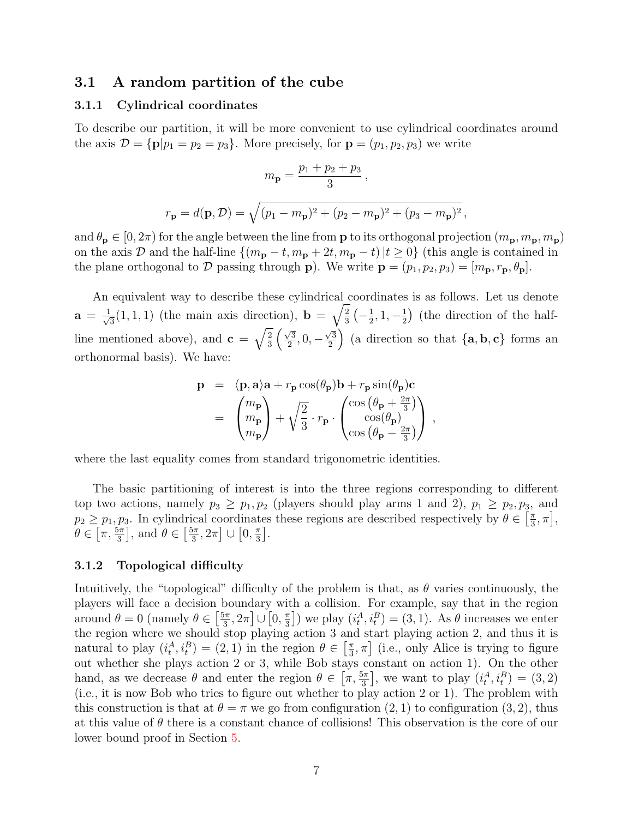### 3.1 A random partition of the cube

#### <span id="page-6-1"></span>3.1.1 Cylindrical coordinates

To describe our partition, it will be more convenient to use cylindrical coordinates around the axis  $\mathcal{D} = {\bf{p}}|p_1 = p_2 = p_3$ . More precisely, for  ${\bf p} = (p_1, p_2, p_3)$  we write

$$
m_{\bf p}=\frac{p_1+p_2+p_3}{3}\,,
$$
 
$$
r_{\bf p}=d({\bf p},\mathcal{D})=\sqrt{(p_1-m_{\bf p})^2+(p_2-m_{\bf p})^2+(p_3-m_{\bf p})^2}\,,
$$

and  $\theta_{\bf p} \in [0, 2\pi)$  for the angle between the line from **p** to its orthogonal projection  $(m_{\bf p}, m_{\bf p}, m_{\bf p})$ on the axis D and the half-line  $\{(m_{\bf p} - t, m_{\bf p} + 2t, m_{\bf p} - t) | t \ge 0\}$  (this angle is contained in the plane orthogonal to D passing through **p**). We write  $\mathbf{p} = (p_1, p_2, p_3) = [m_{\mathbf{p}}, r_{\mathbf{p}}, \theta_{\mathbf{p}}].$ 

An equivalent way to describe these cylindrical coordinates is as follows. Let us denote  $a = \frac{1}{\sqrt{2}}$  $\overline{3}(1,1,1)$  (the main axis direction),  $\mathbf{b} = \sqrt{\frac{2}{3}}$  $\frac{2}{3}(-\frac{1}{2})$  $\frac{1}{2}$ , 1,  $-\frac{1}{2}$  $\frac{1}{2}$ ) (the direction of the halfline mentioned above), and  $\mathbf{c} = \sqrt{\frac{2}{3}}$  $\frac{2}{3}$   $\left(\frac{\sqrt{3}}{2}\right)$  $\frac{\sqrt{3}}{2}, 0, \sqrt{3}$  $\left(\frac{\sqrt{3}}{2}\right)$  (a direction so that  $\{a, b, c\}$  forms an orthonormal basis). We have:

$$
\mathbf{p} = \langle \mathbf{p}, \mathbf{a} \rangle \mathbf{a} + r_{\mathbf{p}} \cos(\theta_{\mathbf{p}}) \mathbf{b} + r_{\mathbf{p}} \sin(\theta_{\mathbf{p}}) \mathbf{c}
$$
  
=  $\begin{pmatrix} m_{\mathbf{p}} \\ m_{\mathbf{p}} \\ m_{\mathbf{p}} \end{pmatrix} + \sqrt{\frac{2}{3}} \cdot r_{\mathbf{p}} \cdot \begin{pmatrix} \cos(\theta_{\mathbf{p}} + \frac{2\pi}{3}) \\ \cos(\theta_{\mathbf{p}}) \\ \cos(\theta_{\mathbf{p}} - \frac{2\pi}{3}) \end{pmatrix}$ ,

where the last equality comes from standard trigonometric identities.

The basic partitioning of interest is into the three regions corresponding to different top two actions, namely  $p_3 \geq p_1, p_2$  (players should play arms 1 and 2),  $p_1 \geq p_2, p_3$ , and  $p_2 \geq p_1, p_3$ . In cylindrical coordinates these regions are described respectively by  $\theta \in \left[\frac{\pi}{3}\right]$  $\frac{\pi}{3}, \pi\big],$  $\theta \in \left[\pi, \frac{5\pi}{3}\right]$ , and  $\theta \in \left[\frac{5\pi}{3}\right]$  $\left[\frac{5\pi}{3},2\pi\right] \cup \left[0,\frac{\pi}{3}\right]$  $\frac{\pi}{3}$ .

### <span id="page-6-0"></span>3.1.2 Topological difficulty

Intuitively, the "topological" difficulty of the problem is that, as  $\theta$  varies continuously, the players will face a decision boundary with a collision. For example, say that in the region around  $\theta = 0$  (namely  $\theta \in \left[\frac{5\pi}{3}\right]$  $\left[\frac{5\pi}{3},2\pi\right] \cup \left[0,\frac{\pi}{3}\right]$  $\left(\frac{\pi}{3}\right]$ ) we play  $(i_t^A, i_t^B) = (3, 1)$ . As  $\theta$  increases we enter the region where we should stop playing action 3 and start playing action 2, and thus it is natural to play  $(i_t^A, i_t^B) = (2, 1)$  in the region  $\theta \in \left[\frac{\pi}{3}\right]$  $\left[\frac{\pi}{3}, \pi\right]$  (i.e., only Alice is trying to figure out whether she plays action 2 or 3, while Bob stays constant on action 1). On the other hand, as we decrease  $\theta$  and enter the region  $\theta \in \left[\pi, \frac{5\pi}{3}\right]$ , we want to play  $(i_t^A, i_t^B) = (3, 2)$ (i.e., it is now Bob who tries to figure out whether to play action 2 or 1). The problem with this construction is that at  $\theta = \pi$  we go from configuration  $(2, 1)$  to configuration  $(3, 2)$ , thus at this value of  $\theta$  there is a constant chance of collisions! This observation is the core of our lower bound proof in Section [5.](#page-15-0)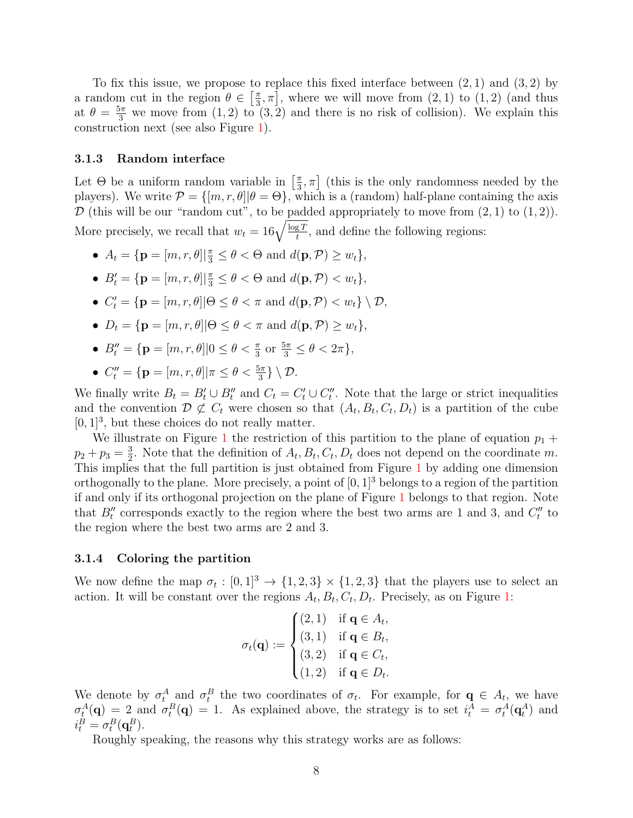To fix this issue, we propose to replace this fixed interface between  $(2,1)$  and  $(3,2)$  by a random cut in the region  $\theta \in \left[\frac{\pi}{3}\right]$  $\left(\frac{\pi}{3}, \pi\right]$ , where we will move from  $(2, 1)$  to  $(1, 2)$  (and thus at  $\theta = \frac{5\pi}{3}$  we move from  $(1, 2)$  to  $(3, 2)$  and there is no risk of collision). We explain this construction next (see also Figure [1\)](#page-8-0).

#### 3.1.3 Random interface

Let  $\Theta$  be a uniform random variable in  $\lceil \frac{\pi}{3} \rceil$  $\left[ \frac{\pi}{3}, \pi \right]$  (this is the only randomness needed by the players). We write  $\mathcal{P} = \{ [m, r, \theta] | \theta = \Theta \}$ , which is a (random) half-plane containing the axis  $\mathcal D$  (this will be our "random cut", to be padded appropriately to move from  $(2, 1)$  to  $(1, 2)$ ). More precisely, we recall that  $w_t = 16\sqrt{\frac{\log T}{t}}$ , and define the following regions:

- $A_t = {\mathbf{p} = [m, r, \theta] | \frac{\pi}{3} \le \theta < \Theta \text{ and } d(\mathbf{p}, \mathcal{P}) \ge w_t },$
- $B'_t = {\mathbf{p} = [m, r, \theta] | \frac{\pi}{3} \le \theta < \Theta \text{ and } d(\mathbf{p}, \mathcal{P}) < w_t },$
- $C'_{t} = {\mathbf{p} = [m, r, \theta] | \Theta \le \theta < \pi \text{ and } d(\mathbf{p}, \mathcal{P}) < w_{t}} \setminus \mathcal{D},$
- $D_t = \{ \mathbf{p} = [m, r, \theta] | \Theta \le \theta \le \pi \text{ and } d(\mathbf{p}, \mathcal{P}) \ge w_t \},\$
- $B''_t = \{ \mathbf{p} = [m, r, \theta] | 0 \le \theta < \frac{\pi}{3} \text{ or } \frac{5\pi}{3} \le \theta < 2\pi \},\$
- $C_t'' = {\mathbf{p} = [m, r, \theta] | \pi \leq \theta < \frac{5\pi}{3}} \setminus \mathcal{D}.$

We finally write  $B_t = B'_t \cup B''_t$  and  $C_t = C'_t \cup C''_t$ . Note that the large or strict inequalities and the convention  $\mathcal{D} \not\subset C_t$  were chosen so that  $(A_t, B_t, C_t, D_t)$  is a partition of the cube  $[0, 1]^3$ , but these choices do not really matter.

We illustrate on Figure [1](#page-8-0) the restriction of this partition to the plane of equation  $p_1 +$  $p_2 + p_3 = \frac{3}{2}$  $\frac{3}{2}$ . Note that the definition of  $A_t, B_t, C_t, D_t$  does not depend on the coordinate m. This implies that the full partition is just obtained from Figure [1](#page-8-0) by adding one dimension orthogonally to the plane. More precisely, a point of  $[0, 1]^3$  belongs to a region of the partition if and only if its orthogonal projection on the plane of Figure [1](#page-8-0) belongs to that region. Note that  $B_t''$  corresponds exactly to the region where the best two arms are 1 and 3, and  $C_t''$  to the region where the best two arms are 2 and 3.

#### 3.1.4 Coloring the partition

We now define the map  $\sigma_t : [0,1]^3 \to \{1,2,3\} \times \{1,2,3\}$  that the players use to select an action. It will be constant over the regions  $A_t, B_t, C_t, D_t$ . Precisely, as on Figure [1:](#page-8-0)

$$
\sigma_t(\mathbf{q}) := \begin{cases}\n(2,1) & \text{if } \mathbf{q} \in A_t, \\
(3,1) & \text{if } \mathbf{q} \in B_t, \\
(3,2) & \text{if } \mathbf{q} \in C_t, \\
(1,2) & \text{if } \mathbf{q} \in D_t.\n\end{cases}
$$

We denote by  $\sigma_t^A$  and  $\sigma_t^B$  the two coordinates of  $\sigma_t$ . For example, for  $\mathbf{q} \in A_t$ , we have  $\sigma_t^A(\mathbf{q}) = 2$  and  $\sigma_t^B(\mathbf{q}) = 1$ . As explained above, the strategy is to set  $i_t^A = \sigma_t^A(\mathbf{q}_t^A)$  and  $i_t^B = \sigma_t^B(\mathbf{q}_t^B).$ 

Roughly speaking, the reasons why this strategy works are as follows: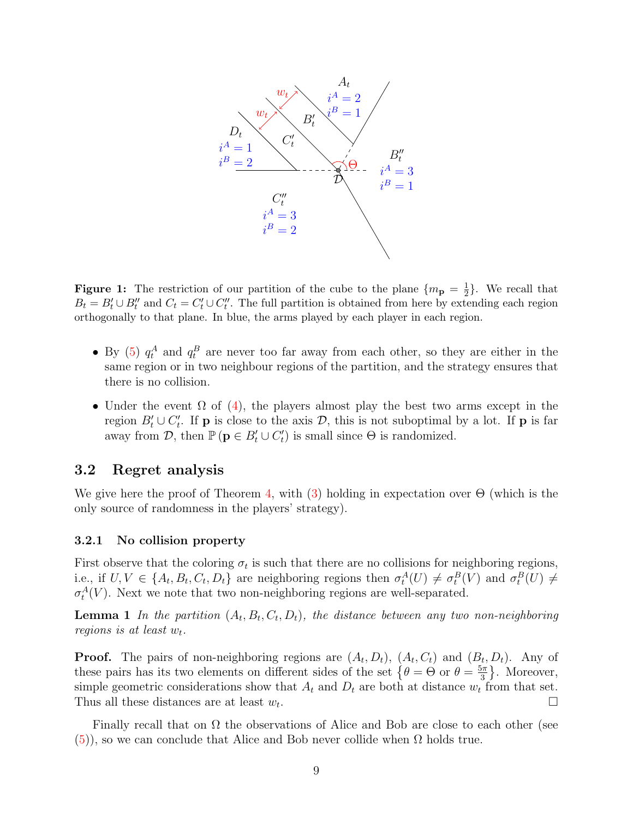<span id="page-8-0"></span>

**Figure 1:** The restriction of our partition of the cube to the plane  $\{m_{\bf p} = \frac{1}{2}\}$  $\frac{1}{2}$ . We recall that  $B_t = B'_t \cup B''_t$  and  $C_t = C'_t \cup C''_t$ . The full partition is obtained from here by extending each region orthogonally to that plane. In blue, the arms played by each player in each region.

- By [\(5\)](#page-5-3)  $q_t^A$  and  $q_t^B$  are never too far away from each other, so they are either in the same region or in two neighbour regions of the partition, and the strategy ensures that there is no collision.
- Under the event  $\Omega$  of [\(4\)](#page-5-4), the players almost play the best two arms except in the region  $B_t' \cup C_t'$ . If **p** is close to the axis  $D$ , this is not suboptimal by a lot. If **p** is far away from  $\mathcal{D}$ , then  $\mathbb{P}(\mathbf{p} \in B_t' \cup C_t')$  is small since  $\Theta$  is randomized.

### <span id="page-8-2"></span>3.2 Regret analysis

We give here the proof of Theorem [4,](#page-5-1) with [\(3\)](#page-5-2) holding in expectation over  $\Theta$  (which is the only source of randomness in the players' strategy).

#### 3.2.1 No collision property

<span id="page-8-1"></span>First observe that the coloring  $\sigma_t$  is such that there are no collisions for neighboring regions, i.e., if  $U, V \in \{A_t, B_t, C_t, D_t\}$  are neighboring regions then  $\sigma_t^A(U) \neq \sigma_t^B(V)$  and  $\sigma_t^B(U) \neq$  $\sigma_t^A(V)$ . Next we note that two non-neighboring regions are well-separated.

**Lemma 1** In the partition  $(A_t, B_t, C_t, D_t)$ , the distance between any two non-neighboring regions is at least  $w_t$ .

**Proof.** The pairs of non-neighboring regions are  $(A_t, D_t)$ ,  $(A_t, C_t)$  and  $(B_t, D_t)$ . Any of these pairs has its two elements on different sides of the set  $\{\theta = \Theta \text{ or } \theta = \frac{5\pi}{3}\}$  $\frac{5\pi}{3}$ . Moreover, simple geometric considerations show that  $A_t$  and  $D_t$  are both at distance  $w_t$  from that set. Thus all these distances are at least  $w_t$ . . В последните поставите на селото на селото на селото на селото на селото на селото на селото на селото на се<br>Селото на селото на селото на селото на селото на селото на селото на селото на селото на селото на селото на

Finally recall that on  $\Omega$  the observations of Alice and Bob are close to each other (see  $(5)$ , so we can conclude that Alice and Bob never collide when  $\Omega$  holds true.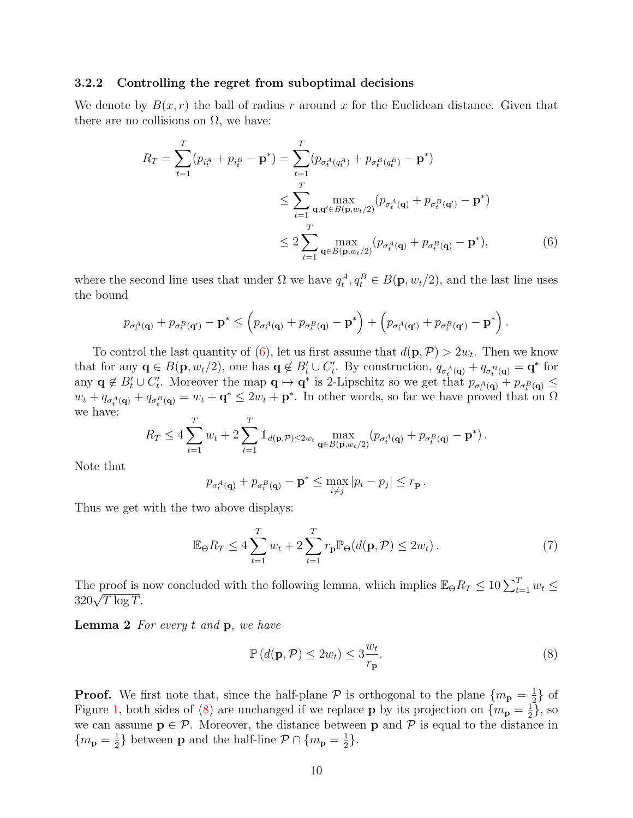#### 3.2.2 Controlling the regret from suboptimal decisions

We denote by  $B(x, r)$  the ball of radius r around x for the Euclidean distance. Given that there are no collisions on  $\Omega$ , we have:

$$
R_T = \sum_{t=1}^T (p_{i_t^A} + p_{i_t^B} - \mathbf{p}^*) = \sum_{t=1}^T (p_{\sigma_t^A(q_t^A)} + p_{\sigma_t^B(q_t^B)} - \mathbf{p}^*)
$$
  
\n
$$
\leq \sum_{t=1}^T \max_{\mathbf{q}, \mathbf{q}' \in B(\mathbf{p}, w_t/2)} (p_{\sigma_t^A(\mathbf{q})} + p_{\sigma_t^B(\mathbf{q}')} - \mathbf{p}^*)
$$
  
\n
$$
\leq 2 \sum_{t=1}^T \max_{\mathbf{q} \in B(\mathbf{p}, w_t/2)} (p_{\sigma_t^A(\mathbf{q})} + p_{\sigma_t^B(\mathbf{q})} - \mathbf{p}^*),
$$
 (6)

where the second line uses that under  $\Omega$  we have  $q_t^A, q_t^B \in B(\mathbf{p}, w_t/2)$ , and the last line uses the bound

$$
p_{\sigma_t^A(\mathbf{q})} + p_{\sigma_t^B(\mathbf{q}')} - \mathbf{p}^* \leq \left( p_{\sigma_t^A(\mathbf{q})} + p_{\sigma_t^B(\mathbf{q})} - \mathbf{p}^* \right) + \left( p_{\sigma_t^A(\mathbf{q}')} + p_{\sigma_t^B(\mathbf{q}')} - \mathbf{p}^* \right)
$$

To control the last quantity of [\(6\)](#page-9-0), let us first assume that  $d(\mathbf{p}, \mathcal{P}) > 2w_t$ . Then we know that for any  $\mathbf{q} \in B(\mathbf{p}, w_t/2)$ , one has  $\mathbf{q} \notin B_t' \cup C_t'$ . By construction,  $q_{\sigma_t^A(\mathbf{q})} + q_{\sigma_t^B(\mathbf{q})} = \mathbf{q}^*$  for any  $\mathbf{q} \notin B_t' \cup C_t'$ . Moreover the map  $\mathbf{q} \mapsto \mathbf{q}^*$  is 2-Lipschitz so we get that  $p_{\sigma_t^A(\mathbf{q})} + p_{\sigma_t^B(\mathbf{q})} \leq$  $w_t + q_{\sigma_t^A(q)} + q_{\sigma_t^B(q)} = w_t + \mathbf{q}^* \leq 2w_t + \mathbf{p}^*$ . In other words, so far we have proved that on  $\Omega$ we have:

$$
R_T \le 4 \sum_{t=1}^T w_t + 2 \sum_{t=1}^T \mathbb{1}_{d(\mathbf{p}, \mathcal{P}) \le 2w_t} \max_{\mathbf{q} \in B(\mathbf{p}, w_t/2)} (p_{\sigma_t^A(\mathbf{q})} + p_{\sigma_t^B(\mathbf{q})} - \mathbf{p}^*) \, .
$$

Note that

<span id="page-9-3"></span>
$$
p_{\sigma_t^A(\mathbf{q})} + p_{\sigma_t^B(\mathbf{q})} - \mathbf{p}^* \le \max_{i \ne j} |p_i - p_j| \le r_{\mathbf{p}}.
$$

Thus we get with the two above displays:

$$
\mathbb{E}_{\Theta} R_T \le 4 \sum_{t=1}^T w_t + 2 \sum_{t=1}^T r_p \mathbb{P}_{\Theta}(d(\mathbf{p}, \mathcal{P}) \le 2w_t).
$$
 (7)

<span id="page-9-2"></span>The proof is now concluded with the following lemma, which implies  $\mathbb{E}_{\Theta}R_T \leq 10 \sum_{t=1}^T w_t \leq$ The proof is  $320\sqrt{T \log T}$ .

**Lemma 2** For every  $t$  and  $p$ , we have

<span id="page-9-1"></span>
$$
\mathbb{P}\left(d(\mathbf{p}, \mathcal{P}) \le 2w_t\right) \le 3\frac{w_t}{r_\mathbf{p}}.\tag{8}
$$

<span id="page-9-0"></span>.

**Proof.** We first note that, since the half-plane  $\mathcal P$  is orthogonal to the plane  $\{m_{\bf p} = \frac{1}{2}$  $\frac{1}{2}$  of Figure [1,](#page-8-0) both sides of [\(8\)](#page-9-1) are unchanged if we replace **p** by its projection on  $\{m_{\bf p} = \frac{1}{2}\}$  $\frac{1}{2}\},$  so we can assume  $p \in \mathcal{P}$ . Moreover, the distance between p and  $\mathcal P$  is equal to the distance in  ${m_{\bf p}=\frac{1}{2}}$  $\frac{1}{2}$ } between **p** and the half-line  $\mathcal{P} \cap \{m_{\mathbf{p}} = \frac{1}{2}\}$  $\frac{1}{2}$ .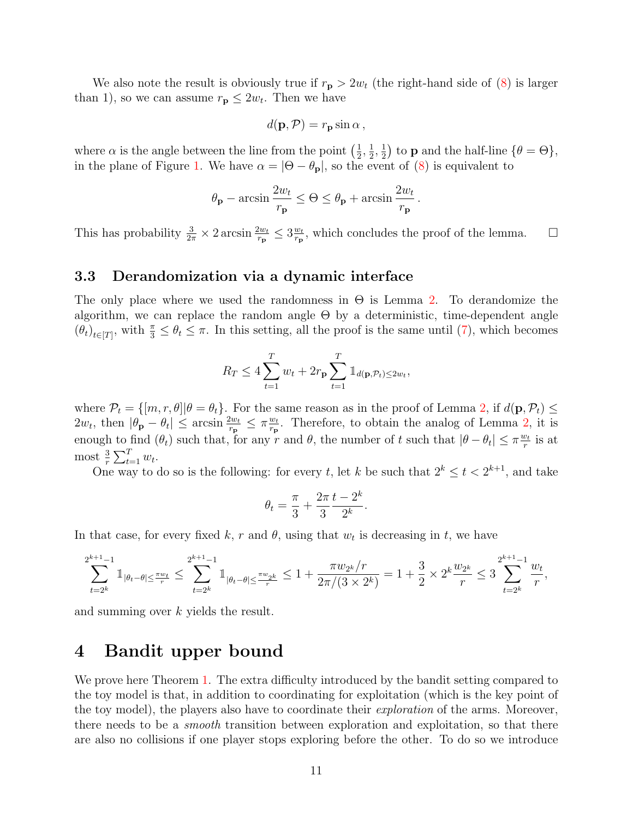We also note the result is obviously true if  $r_{\rm p} > 2w_t$  (the right-hand side of [\(8\)](#page-9-1) is larger than 1), so we can assume  $r_{\mathbf{p}} \leq 2w_t$ . Then we have

$$
d(\mathbf{p}, \mathcal{P}) = r_{\mathbf{p}} \sin \alpha ,
$$

where  $\alpha$  is the angle between the line from the point  $\left(\frac{1}{2}\right)$  $\frac{1}{2}, \frac{1}{2}$  $\frac{1}{2}, \frac{1}{2}$  $(\frac{1}{2})$  to **p** and the half-line  $\{\theta = \Theta\},\$ in the plane of Figure [1.](#page-8-0) We have  $\alpha = |\Theta - \theta_{\bf p}|$ , so the event of [\(8\)](#page-9-1) is equivalent to

$$
\theta_{\mathbf{p}} - \arcsin \frac{2w_t}{r_{\mathbf{p}}} \le \Theta \le \theta_{\mathbf{p}} + \arcsin \frac{2w_t}{r_{\mathbf{p}}}.
$$

This has probability  $\frac{3}{2\pi} \times 2 \arcsin \frac{2w_t}{r_p} \leq 3 \frac{w_t}{r_p}$  $\frac{w_t}{r_p}$ , which concludes the proof of the lemma.  $\square$ 

### <span id="page-10-1"></span>3.3 Derandomization via a dynamic interface

The only place where we used the randomness in  $\Theta$  is Lemma [2.](#page-9-2) To derandomize the algorithm, we can replace the random angle Θ by a deterministic, time-dependent angle  $(\theta_t)_{t\in[T]}$ , with  $\frac{\pi}{3} \leq \theta_t \leq \pi$ . In this setting, all the proof is the same until [\(7\)](#page-9-3), which becomes

$$
R_T \le 4 \sum_{t=1}^T w_t + 2r_{\mathbf{p}} \sum_{t=1}^T \mathbb{1}_{d(\mathbf{p}, \mathcal{P}_t) \le 2w_t},
$$

where  $\mathcal{P}_t = \{ [m, r, \theta] | \theta = \theta_t \}.$  For the same reason as in the proof of Lemma [2,](#page-9-2) if  $d(\mathbf{p}, \mathcal{P}_t) \le$  $2w_t$ , then  $|\theta_{\bf p} - \theta_t| \leq \arcsin \frac{2w_t}{r_{\bf p}} \leq \pi \frac{w_t}{r_{\bf p}}$  $\frac{w_t}{r_p}$ . Therefore, to obtain the analog of Lemma [2,](#page-9-2) it is enough to find  $(\theta_t)$  such that, for any r and  $\theta$ , the number of t such that  $|\theta - \theta_t| \leq \pi \frac{w_t}{r}$  $\frac{v_t}{r}$  is at most  $\frac{3}{r} \sum_{t=1}^{T} w_t$ .

One way to do so is the following: for every t, let k be such that  $2^k \le t < 2^{k+1}$ , and take

$$
\theta_t = \frac{\pi}{3} + \frac{2\pi}{3} \frac{t - 2^k}{2^k}.
$$

In that case, for every fixed k, r and  $\theta$ , using that  $w_t$  is decreasing in t, we have

$$
\sum_{t=2^k}^{2^{k+1}-1} \mathbb{1}_{|\theta_t - \theta| \leq \frac{\pi w_t}{r}} \leq \sum_{t=2^k}^{2^{k+1}-1} \mathbb{1}_{|\theta_t - \theta| \leq \frac{\pi w_{2^k}}{r}} \leq 1 + \frac{\pi w_{2^k}/r}{2\pi/(3 \times 2^k)} = 1 + \frac{3}{2} \times 2^k \frac{w_{2^k}}{r} \leq 3 \sum_{t=2^k}^{2^{k+1}-1} \frac{w_t}{r},
$$

and summing over k yields the result.

# <span id="page-10-0"></span>4 Bandit upper bound

We prove here Theorem [1.](#page-1-0) The extra difficulty introduced by the bandit setting compared to the toy model is that, in addition to coordinating for exploitation (which is the key point of the toy model), the players also have to coordinate their exploration of the arms. Moreover, there needs to be a *smooth* transition between exploration and exploitation, so that there are also no collisions if one player stops exploring before the other. To do so we introduce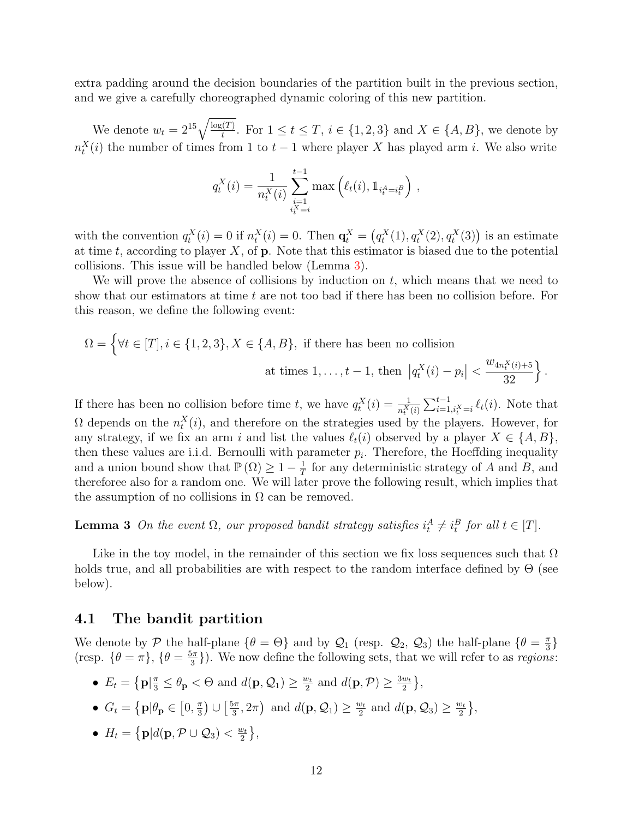extra padding around the decision boundaries of the partition built in the previous section, and we give a carefully choreographed dynamic coloring of this new partition.

We denote  $w_t = 2^{15} \sqrt{\frac{\log(T)}{t}}$ . For  $1 \le t \le T$ ,  $i \in \{1, 2, 3\}$  and  $X \in \{A, B\}$ , we denote by  $n_t^X(i)$  the number of times from 1 to  $t-1$  where player X has played arm i. We also write

$$
q_t^X(i) = \frac{1}{n_t^X(i)} \sum_{\substack{i=1 \ i_t^X = i}}^{t-1} \max\left(\ell_t(i), \mathbb{1}_{i_t^A = i_t^B}\right),
$$

with the convention  $q_t^X(i) = 0$  if  $n_t^X(i) = 0$ . Then  $\mathbf{q}_t^X = (q_t^X(1), q_t^X(2), q_t^X(3))$  is an estimate at time t, according to player  $X$ , of  $p$ . Note that this estimator is biased due to the potential collisions. This issue will be handled below (Lemma [3\)](#page-11-0).

We will prove the absence of collisions by induction on  $t$ , which means that we need to show that our estimators at time  $t$  are not too bad if there has been no collision before. For this reason, we define the following event:

$$
\Omega = \left\{ \forall t \in [T], i \in \{1, 2, 3\}, X \in \{A, B\}, \text{ if there has been no collision} \atop \text{at times } 1, \dots, t - 1, \text{ then } |q_t^X(i) - p_i| < \frac{w_{4n_t^X(i) + 5}}{32} \right\}
$$

.

If there has been no collision before time t, we have  $q_t^X(i) = \frac{1}{n_t^X(i)} \sum_{i=1, i_t^X = i}^{t-1} \ell_t(i)$ . Note that  $\Omega$  depends on the  $n_t^X(i)$ , and therefore on the strategies used by the players. However, for any strategy, if we fix an arm i and list the values  $\ell_t(i)$  observed by a player  $X \in \{A, B\}$ , then these values are i.i.d. Bernoulli with parameter  $p_i$ . Therefore, the Hoeffding inequality and a union bound show that  $\mathbb{P}(\Omega) \geq 1 - \frac{1}{\tau}$  $\frac{1}{T}$  for any deterministic strategy of A and B, and thereforee also for a random one. We will later prove the following result, which implies that the assumption of no collisions in  $\Omega$  can be removed.

<span id="page-11-0"></span>**Lemma 3** On the event  $\Omega$ , our proposed bandit strategy satisfies  $i_t^A \neq i_t^B$  for all  $t \in [T]$ .

Like in the toy model, in the remainder of this section we fix loss sequences such that  $\Omega$ holds true, and all probabilities are with respect to the random interface defined by  $\Theta$  (see below).

### 4.1 The bandit partition

We denote by P the half-plane  $\{\theta = \Theta\}$  and by  $\mathcal{Q}_1$  (resp.  $\mathcal{Q}_2$ ,  $\mathcal{Q}_3$ ) the half-plane  $\{\theta = \frac{\pi}{3}\}$  $\frac{\pi}{3}\}$ (resp.  $\{\theta = \pi\}, \{\theta = \frac{5\pi}{3}\}$  $\left(\frac{3\pi}{3}\right)$ ). We now define the following sets, that we will refer to as *regions*:

- $E_t = \left\{ \mathbf{p} | \frac{\pi}{3} \leq \theta_{\mathbf{p}} < \Theta \text{ and } d(\mathbf{p}, \mathcal{Q}_1) \geq \frac{w_t}{2} \right\}$  $\frac{w_t}{2}$  and  $d(\mathbf{p}, \mathcal{P}) \geq \frac{3w_t}{2}$  $\frac{w_t}{2}\Big\},$
- $G_t = \left\{ \mathbf{p} | \theta_{\mathbf{p}} \in \left[0, \frac{\pi}{3}\right] \right\}$  $\frac{\pi}{3}$ )  $\cup$   $\left[\frac{5\pi}{3}\right]$  $\left(\frac{5\pi}{3}, 2\pi\right)$  and  $d(\mathbf{p}, \mathcal{Q}_1) \ge \frac{w_t}{2}$  $\frac{w_t}{2}$  and  $d(\mathbf{p}, \mathcal{Q}_3) \ge \frac{w_t}{2}$  $\frac{v_t}{2}\}$ ,
- $H_t = \left\{ \mathbf{p} | d(\mathbf{p}, \mathcal{P} \cup \mathcal{Q}_3) < \frac{w_t}{2} \right\}$  $\frac{v_t}{2}\Big\},$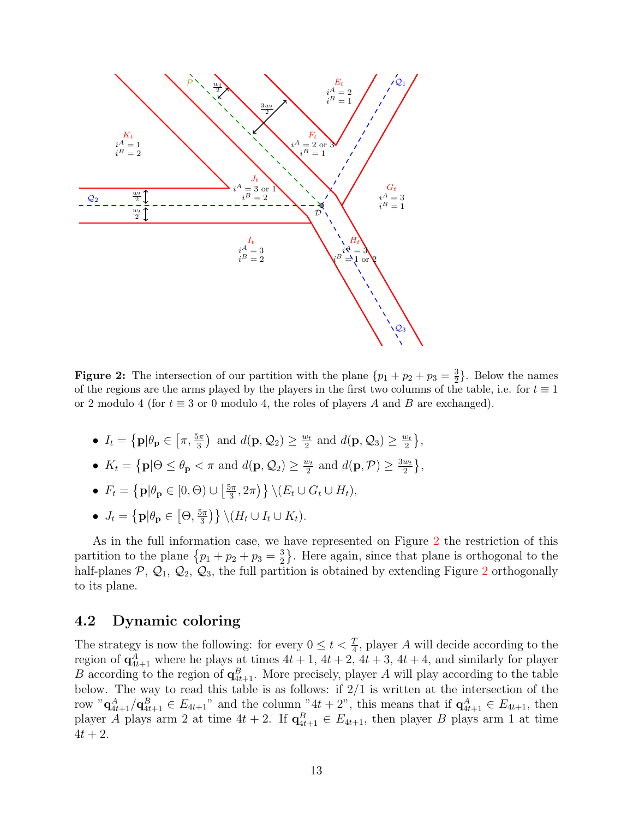<span id="page-12-0"></span>

**Figure 2:** The intersection of our partition with the plane  $\{p_1 + p_2 + p_3 = \frac{3}{2}\}$  $\frac{3}{2}$ . Below the names of the regions are the arms played by the players in the first two columns of the table, i.e. for  $t \equiv 1$ or 2 modulo 4 (for  $t \equiv 3$  or 0 modulo 4, the roles of players A and B are exchanged).

- $I_t = \left\{ \mathbf{p} | \theta_{\mathbf{p}} \in \left[ \pi, \frac{5\pi}{3} \right) \text{ and } d(\mathbf{p}, \mathcal{Q}_2) \ge \frac{w_t}{2} \right\}$  $\frac{w_t}{2}$  and  $d(\mathbf{p}, \mathcal{Q}_3) \ge \frac{w_t}{2}$  $\frac{v_t}{2}$ ,
- $K_t = \{ \mathbf{p} | \Theta \leq \theta_{\mathbf{p}} < \pi \text{ and } d(\mathbf{p}, \mathcal{Q}_2) \geq \frac{w_t}{2}$  $\frac{w_t}{2}$  and  $d(\mathbf{p}, \mathcal{P}) \geq \frac{3w_t}{2}$  $\frac{w_t}{2}\Big\},$

• 
$$
F_t = \{ \mathbf{p} | \theta_{\mathbf{p}} \in [0, \Theta) \cup \left[ \frac{5\pi}{3}, 2\pi \right) \} \setminus (E_t \cup G_t \cup H_t),
$$

•  $J_t = \left\{ \mathbf{p} | \theta_{\mathbf{p}} \in \left[ \Theta, \frac{5\pi}{3} \right] \right\}$  $\left\{ \frac{5\pi}{3} \right\} \backslash (H_t \cup I_t \cup K_t).$ 

As in the full information case, we have represented on Figure [2](#page-12-0) the restriction of this partition to the plane  $\{p_1 + p_2 + p_3 = \frac{3}{2}\}$  $\frac{3}{2}$ . Here again, since that plane is orthogonal to the half-planes  $P$ ,  $Q_1$ ,  $Q_2$  $Q_2$ ,  $Q_3$ , the full partition is obtained by extending Figure 2 orthogonally to its plane.

# 4.2 Dynamic coloring

The strategy is now the following: for every  $0 \leq t < \frac{T}{4}$ , player A will decide according to the region of  $\mathbf{q}_{4t+1}^A$  where he plays at times  $4t+1$ ,  $4t+2$ ,  $4t+3$ ,  $4t+4$ , and similarly for player B according to the region of  $\mathbf{q}_{4t+1}^B$ . More precisely, player A will play according to the table below. The way to read this table is as follows: if 2/1 is written at the intersection of the row " $\mathbf{q}_{4t+1}^A / \mathbf{q}_{4t+1}^B \in E_{4t+1}$ " and the column " $4t+2$ ", this means that if  $\mathbf{q}_{4t+1}^A \in E_{4t+1}$ , then player A plays arm 2 at time  $4t + 2$ . If  $\mathbf{q}_{4t+1}^B \in E_{4t+1}$ , then player B plays arm 1 at time  $4t + 2$ .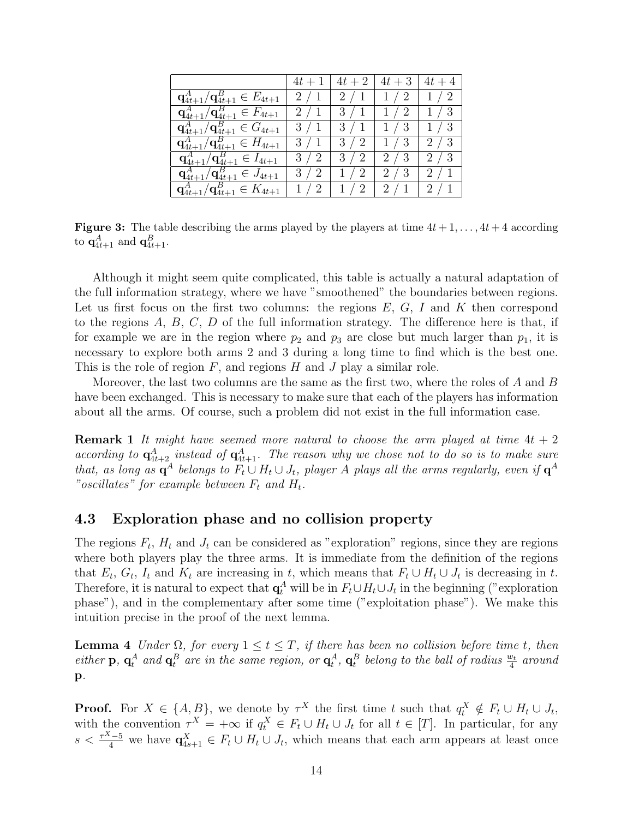<span id="page-13-1"></span>

|                                                        |     | $4t+1$   $4t+2$   $4t+3$   $4t+4$ |                       |               |
|--------------------------------------------------------|-----|-----------------------------------|-----------------------|---------------|
| $\mathbf{q}^A_{4t+1}/\mathbf{q}^B_{4t+1} \in E_{4t+1}$ | 2/1 |                                   | $2/1$   $1/2$   $1/2$ |               |
| $\mathbf{q}^A_{4t+1}/\mathbf{q}^B_{4t+1} \in F_{4t+1}$ | 2/1 |                                   | $3/1$   $1/2$   $1/3$ |               |
| $\mathbf{q}^A_{4t+1}/\mathbf{q}^B_{4t+1} \in G_{4t+1}$ | 3/1 | 3/1                               |                       | $1/3$   $1/3$ |
| $\mathbf{q}^A_{4t+1}/\mathbf{q}^B_{4t+1} \in H_{4t+1}$ | 3/1 | 3/2                               |                       | $1/3$   $2/3$ |
| $\mathbf{q}^A_{4t+1}/\mathbf{q}^B_{4t+1} \in I_{4t+1}$ | 3/2 | 3/2                               |                       | $2/3$   $2/3$ |
| $\mathbf{q}^A_{4t+1}/\mathbf{q}^B_{4t+1} \in J_{4t+1}$ | 3/2 | 1/2                               | $2/3$   $2/1$         |               |
| $\mathbf{q}^A_{4t+1}/\mathbf{q}^B_{4t+1} \in K_{4t+1}$ | 1/2 | 1/2                               | 12/12/1               |               |

**Figure 3:** The table describing the arms played by the players at time  $4t + 1, \ldots, 4t + 4$  according to  $\mathbf{q}^A_{4t+1}$  and  $\mathbf{q}^B_{4t+1}$ .

Although it might seem quite complicated, this table is actually a natural adaptation of the full information strategy, where we have "smoothened" the boundaries between regions. Let us first focus on the first two columns: the regions  $E, G, I$  and K then correspond to the regions  $A, B, C, D$  of the full information strategy. The difference here is that, if for example we are in the region where  $p_2$  and  $p_3$  are close but much larger than  $p_1$ , it is necessary to explore both arms 2 and 3 during a long time to find which is the best one. This is the role of region  $F$ , and regions  $H$  and  $J$  play a similar role.

Moreover, the last two columns are the same as the first two, where the roles of  $A$  and  $B$ have been exchanged. This is necessary to make sure that each of the players has information about all the arms. Of course, such a problem did not exist in the full information case.

**Remark 1** It might have seemed more natural to choose the arm played at time  $4t + 2$ according to  $\mathbf{q}^A_{4t+2}$  instead of  $\mathbf{q}^A_{4t+1}$ . The reason why we chose not to do so is to make sure that, as long as  $\mathbf{q}^A$  belongs to  $F_t \cup H_t \cup J_t$ , player A plays all the arms regularly, even if  $\mathbf{q}^A$ "oscillates" for example between  $F_t$  and  $H_t$ .

### 4.3 Exploration phase and no collision property

The regions  $F_t$ ,  $H_t$  and  $J_t$  can be considered as "exploration" regions, since they are regions where both players play the three arms. It is immediate from the definition of the regions that  $E_t$ ,  $G_t$ ,  $I_t$  and  $K_t$  are increasing in t, which means that  $F_t \cup H_t \cup J_t$  is decreasing in t. Therefore, it is natural to expect that  $\mathbf{q}_t^A$  will be in  $F_t \cup H_t \cup J_t$  in the beginning ("exploration") phase"), and in the complementary after some time ("exploitation phase"). We make this intuition precise in the proof of the next lemma.

<span id="page-13-0"></span>**Lemma 4** Under  $\Omega$ , for every  $1 \le t \le T$ , if there has been no collision before time t, then either **p**,  $q_t^A$  and  $q_t^B$  are in the same region, or  $q_t^A$ ,  $q_t^B$  belong to the ball of radius  $\frac{w_t}{4}$  around p.

**Proof.** For  $X \in \{A, B\}$ , we denote by  $\tau^X$  the first time t such that  $q_t^X \notin F_t \cup H_t \cup J_t$ , with the convention  $\tau^X = +\infty$  if  $q_t^X \in F_t \cup H_t \cup J_t$  for all  $t \in [T]$ . In particular, for any  $s < \frac{\tau^{X}-5}{4}$  we have  $\mathbf{q}_{4s+1}^X \in F_t \cup H_t \cup J_t$ , which means that each arm appears at least once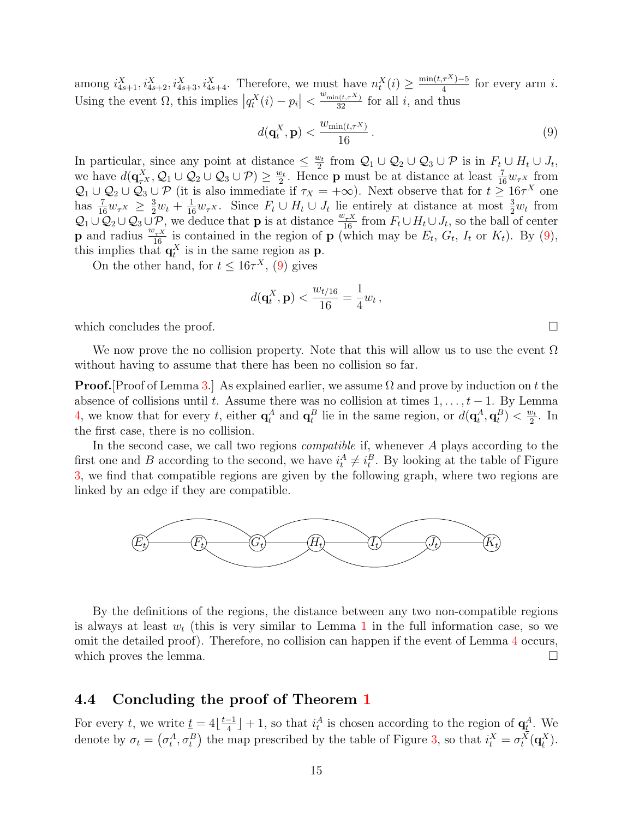among  $i_{4s+1}^X$ ,  $i_{4s+2}^X$ ,  $i_{4s+3}^X$ ,  $i_{4s+4}^X$ . Therefore, we must have  $n_t^X(i) \ge \frac{\min(t, \tau^X) - 5}{4}$  $\frac{\tau^{A}}{4}$  for every arm *i*. Using the event  $\Omega$ , this implies  $|q_t^X(i) - p_i| < \frac{w_{\min(t,\tau^X)}}{32}$  for all i, and thus

<span id="page-14-0"></span>
$$
d(\mathbf{q}_t^X, \mathbf{p}) < \frac{w_{\min(t, \tau^X)}}{16} \,. \tag{9}
$$

In particular, since any point at distance  $\leq \frac{w_t}{2}$  $\frac{\omega_t}{2}$  from  $\mathcal{Q}_1 \cup \mathcal{Q}_2 \cup \mathcal{Q}_3 \cup \mathcal{P}$  is in  $F_t \cup H_t \cup J_t$ , we have  $d(\mathbf{q}_{\tau^X}^X, \mathcal{Q}_1 \cup \mathcal{Q}_2 \cup \mathcal{Q}_3 \cup \mathcal{P}) \ge \frac{w_t}{2}$  $\frac{v_t}{2}$ . Hence **p** must be at distance at least  $\frac{7}{16}w_\tau x$  from  $Q_1 \cup Q_2 \cup Q_3 \cup \mathcal{P}$  (it is also immediate if  $\tau_X = +\infty$ ). Next observe that for  $t \geq 16\tau^X$  one has  $\frac{7}{16}w_{\tau}x \geq \frac{3}{2}w_t + \frac{1}{16}w_{\tau}x$ . Since  $F_t \cup H_t \cup J_t$  lie entirely at distance at most  $\frac{3}{2}w_t$  from  $\mathcal{Q}_1 \cup \mathcal{Q}_2 \cup \mathcal{Q}_3 \cup \mathcal{P}$ , we deduce that **p** is at distance  $\frac{w_{\tau X}}{16}$  from  $F_t \cup H_t \cup J_t$ , so the ball of center **p** and radius  $\frac{w_{\tau}X}{16}$  is contained in the region of **p** (which may be  $E_t$ ,  $G_t$ ,  $I_t$  or  $K_t$ ). By [\(9\)](#page-14-0), this implies that  $\mathbf{q}_t^X$  is in the same region as **p**.

On the other hand, for  $t \leq 16\tau^X$ , [\(9\)](#page-14-0) gives

$$
d(\mathbf{q}^X_t, \mathbf{p}) < \frac{w_{t/16}}{16} = \frac{1}{4} w_t \,,
$$

which concludes the proof.  $\Box$ 

We now prove the no collision property. Note that this will allow us to use the event  $\Omega$ without having to assume that there has been no collision so far.

**Proof.** Proof of Lemma [3.](#page-11-0) As explained earlier, we assume  $\Omega$  and prove by induction on t the absence of collisions until t. Assume there was no collision at times  $1, \ldots, t-1$ . By Lemma [4,](#page-13-0) we know that for every t, either  $\mathbf{q}_t^A$  and  $\mathbf{q}_t^B$  lie in the same region, or  $d(\mathbf{q}_t^A, \mathbf{q}_t^B) < \frac{w_t}{2}$  $\frac{v_t}{2}$ . In the first case, there is no collision.

In the second case, we call two regions *compatible* if, whenever  $A$  plays according to the first one and B according to the second, we have  $i_t^A \neq i_t^B$ . By looking at the table of Figure [3,](#page-13-1) we find that compatible regions are given by the following graph, where two regions are linked by an edge if they are compatible.



By the definitions of the regions, the distance between any two non-compatible regions is always at least  $w_t$  (this is very similar to Lemma [1](#page-8-1) in the full information case, so we omit the detailed proof). Therefore, no collision can happen if the event of Lemma [4](#page-13-0) occurs, which proves the lemma.  $\Box$ 

### 4.4 Concluding the proof of Theorem [1](#page-1-0)

For every t, we write  $\underline{t} = 4 \left| \frac{t-1}{4} \right|$  $\frac{-1}{4}$  + 1, so that  $i_t^A$  is chosen according to the region of  $\mathbf{q}_t^A$ . We denote by  $\sigma_t = (\sigma_t^A, \sigma_t^B)$  the map prescribed by the table of Figure [3,](#page-13-1) so that  $i_t^X = \sigma_t^X(\mathbf{q}_t^X)$ .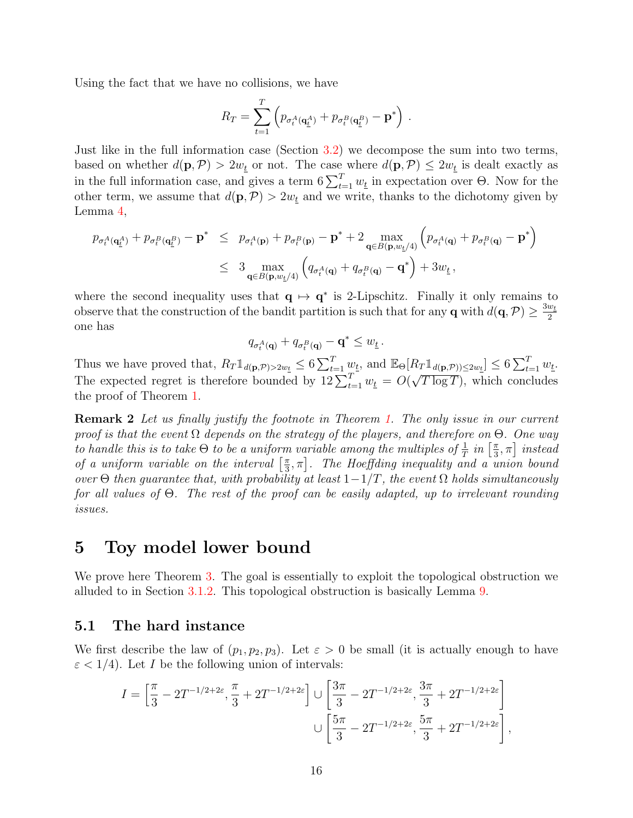Using the fact that we have no collisions, we have

$$
R_T = \sum_{t=1}^T \left( p_{\sigma_t^A(\mathbf{q}_{\underline{t}}^A)} + p_{\sigma_t^B(\mathbf{q}_{\underline{t}}^B)} - \mathbf{p}^* \right).
$$

Just like in the full information case (Section [3.2\)](#page-8-2) we decompose the sum into two terms, based on whether  $d(\mathbf{p}, \mathcal{P}) > 2w_t$  or not. The case where  $d(\mathbf{p}, \mathcal{P}) \leq 2w_t$  is dealt exactly as in the full information case, and gives a term  $6\sum_{t=1}^{T} w_t$  in expectation over  $\Theta$ . Now for the other term, we assume that  $d(\mathbf{p}, \mathcal{P}) > 2w_t$  and we write, thanks to the dichotomy given by Lemma [4,](#page-13-0)

$$
p_{\sigma_t^A(\mathbf{q}_\underline{t}^A)} + p_{\sigma_t^B(\mathbf{q}_\underline{t}^B)} - \mathbf{p}^* \le p_{\sigma_t^A(\mathbf{p})} + p_{\sigma_t^B(\mathbf{p})} - \mathbf{p}^* + 2 \max_{\mathbf{q} \in B(\mathbf{p}, w_\underline{t}/4)} \left( p_{\sigma_t^A(\mathbf{q})} + p_{\sigma_t^B(\mathbf{q})} - \mathbf{p}^* \right)
$$
  

$$
\leq 3 \max_{\mathbf{q} \in B(\mathbf{p}, w_\underline{t}/4)} \left( q_{\sigma_t^A(\mathbf{q})} + q_{\sigma_t^B(\mathbf{q})} - \mathbf{q}^* \right) + 3w_\underline{t} \,,
$$

where the second inequality uses that  $q \mapsto q^*$  is 2-Lipschitz. Finally it only remains to observe that the construction of the bandit partition is such that for any **q** with  $d(\mathbf{q}, \mathcal{P}) \ge \frac{3w_t}{2}$ 2 one has

$$
q_{\sigma_t^A(\mathbf{q})} + q_{\sigma_t^B(\mathbf{q})} - \mathbf{q}^* \le w_{\underline{t}}.
$$

Thus we have proved that,  $R_T \mathbb{1}_{d(\mathbf{p}, \mathcal{P}) > 2w_{\underline{t}}} \leq 6 \sum_{t=1}^T w_{\underline{t}}$ , and  $\mathbb{E}_{\Theta}[R_T \mathbb{1}_{d(\mathbf{p}, \mathcal{P}) \leq 2w_{\underline{t}}}] \leq 6 \sum_{t=1}^T w_{\underline{t}}$ . The expected regret is therefore bounded by  $12 \sum_{t=1}^{T} w_t = O(q)$ µ∪  $T \log T$ , which concludes the proof of Theorem [1.](#page-1-0)

**Remark 2** Let us finally justify the footnote in Theorem [1.](#page-1-0) The only issue in our current proof is that the event  $\Omega$  depends on the strategy of the players, and therefore on  $\Theta$ . One way to handle this is to take  $\Theta$  to be a uniform variable among the multiples of  $\frac{1}{T}$  in  $\left[\frac{\pi}{3}\right]$  $\left[\frac{\pi}{3}, \pi\right]$  instead of a uniform variable on the interval  $\lceil \frac{\pi}{3} \rceil$  $\left[ \frac{\pi}{3},\pi\right]$ . The Hoeffding inequality and a union bound over  $\Theta$  then guarantee that, with probability at least  $1-\frac{1}{T}$ , the event  $\Omega$  holds simultaneously for all values of Θ. The rest of the proof can be easily adapted, up to irrelevant rounding issues.

# <span id="page-15-0"></span>5 Toy model lower bound

We prove here Theorem [3.](#page-3-1) The goal is essentially to exploit the topological obstruction we alluded to in Section [3.1.2.](#page-6-0) This topological obstruction is basically Lemma [9.](#page-21-0)

### 5.1 The hard instance

We first describe the law of  $(p_1, p_2, p_3)$ . Let  $\varepsilon > 0$  be small (it is actually enough to have  $\varepsilon$  < 1/4). Let *I* be the following union of intervals:

$$
I = \left[\frac{\pi}{3} - 2T^{-1/2+2\varepsilon}, \frac{\pi}{3} + 2T^{-1/2+2\varepsilon}\right] \cup \left[\frac{3\pi}{3} - 2T^{-1/2+2\varepsilon}, \frac{3\pi}{3} + 2T^{-1/2+2\varepsilon}\right] \cup \left[\frac{5\pi}{3} - 2T^{-1/2+2\varepsilon}, \frac{5\pi}{3} + 2T^{-1/2+2\varepsilon}\right],
$$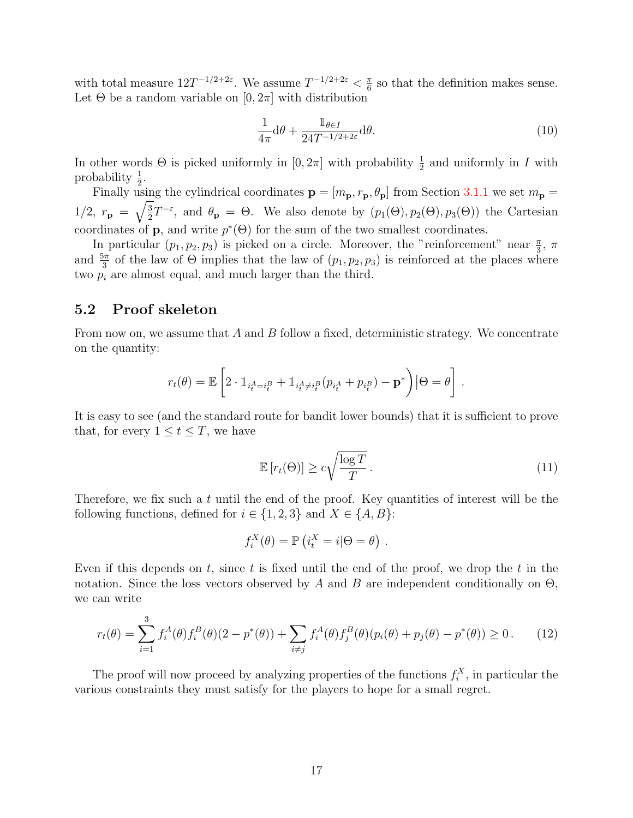with total measure  $12T^{-1/2+2\varepsilon}$ . We assume  $T^{-1/2+2\varepsilon} < \frac{\pi}{6}$  $\frac{\pi}{6}$  so that the definition makes sense. Let  $\Theta$  be a random variable on  $[0, 2\pi]$  with distribution

<span id="page-16-1"></span>
$$
\frac{1}{4\pi} \mathrm{d}\theta + \frac{\mathbb{1}_{\theta \in I}}{24T^{-1/2+2\varepsilon}} \mathrm{d}\theta. \tag{10}
$$

In other words  $\Theta$  is picked uniformly in  $[0, 2\pi]$  with probability  $\frac{1}{2}$  and uniformly in I with probability  $\frac{1}{2}$ .

Finally using the cylindrical coordinates  $\mathbf{p} = [m_{\mathbf{p}}, r_{\mathbf{p}}, \theta_{\mathbf{p}}]$  from Section [3.1.1](#page-6-1) we set  $m_{\mathbf{p}} =$  $1/2, r_{\bf p} = \sqrt{\frac{3}{2}}$  $\frac{3}{2}T^{-\varepsilon}$ , and  $\theta_{\mathbf{p}} = \Theta$ . We also denote by  $(p_1(\Theta), p_2(\Theta), p_3(\Theta))$  the Cartesian coordinates of **p**, and write  $p^*(\Theta)$  for the sum of the two smallest coordinates.

In particular  $(p_1, p_2, p_3)$  is picked on a circle. Moreover, the "reinforcement" near  $\frac{\pi}{3}$ ,  $\pi$ and  $\frac{5\pi}{3}$  of the law of  $\Theta$  implies that the law of  $(p_1, p_2, p_3)$  is reinforced at the places where two  $p_i$  are almost equal, and much larger than the third.

### 5.2 Proof skeleton

From now on, we assume that  $A$  and  $B$  follow a fixed, deterministic strategy. We concentrate on the quantity:

$$
r_t(\theta) = \mathbb{E}\left[2 \cdot \mathbb{1}_{i_t^A = i_t^B} + \mathbb{1}_{i_t^A \neq i_t^B} (p_{i_t^A} + p_{i_t^B}) - \mathbf{p}^*\right] | \Theta = \theta\right].
$$

It is easy to see (and the standard route for bandit lower bounds) that it is sufficient to prove that, for every  $1 \le t \le T$ , we have

<span id="page-16-2"></span>
$$
\mathbb{E}\left[r_t(\Theta)\right] \ge c\sqrt{\frac{\log T}{T}}\,. \tag{11}
$$

Therefore, we fix such a  $t$  until the end of the proof. Key quantities of interest will be the following functions, defined for  $i \in \{1,2,3\}$  and  $X \in \{A, B\}$ :

$$
f_i^X(\theta) = \mathbb{P}\left(i_i^X = i | \Theta = \theta\right).
$$

Even if this depends on t, since t is fixed until the end of the proof, we drop the t in the notation. Since the loss vectors observed by A and B are independent conditionally on  $\Theta$ , we can write

<span id="page-16-0"></span>
$$
r_t(\theta) = \sum_{i=1}^3 f_i^A(\theta) f_i^B(\theta) (2 - p^*(\theta)) + \sum_{i \neq j} f_i^A(\theta) f_j^B(\theta) (p_i(\theta) + p_j(\theta) - p^*(\theta)) \ge 0. \tag{12}
$$

The proof will now proceed by analyzing properties of the functions  $f_i^X$ , in particular the various constraints they must satisfy for the players to hope for a small regret.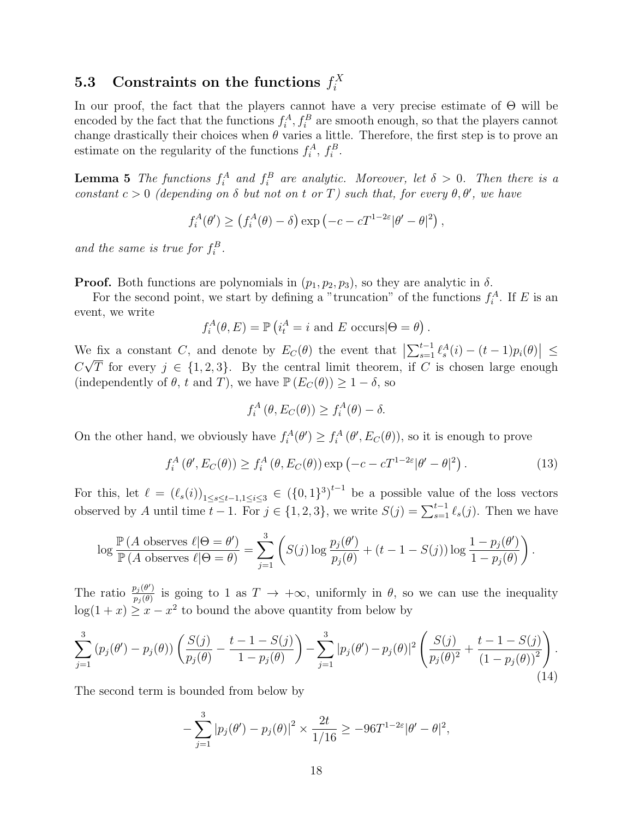#### 5.3 Constraints on the functions  $f_i^X$ i

In our proof, the fact that the players cannot have a very precise estimate of  $\Theta$  will be encoded by the fact that the functions  $f_i^A, f_i^B$  are smooth enough, so that the players cannot change drastically their choices when  $\theta$  varies a little. Therefore, the first step is to prove an estimate on the regularity of the functions  $f_i^A$ ,  $f_i^B$ .

<span id="page-17-2"></span>**Lemma 5** The functions  $f_i^A$  and  $f_i^B$  are analytic. Moreover, let  $\delta > 0$ . Then there is a constant  $c > 0$  (depending on  $\delta$  but not on t or T) such that, for every  $\theta, \theta'$ , we have

 $f_i^A(\theta') \ge (f_i^A(\theta) - \delta) \exp(-c - cT^{1-2\varepsilon}|\theta' - \theta|^2),$ 

and the same is true for  $f_i^B$ .

**Proof.** Both functions are polynomials in  $(p_1, p_2, p_3)$ , so they are analytic in  $\delta$ .

For the second point, we start by defining a "truncation" of the functions  $f_i^A$ . If E is an event, we write

$$
f_i^A(\theta, E) = \mathbb{P}\left(i_t^A = i \text{ and } E \text{ occurs}|\Theta = \theta\right).
$$

We fix a constant C, and denote by  $E_C(\theta)$  the event that  $\left|\sum_{s=1}^{t-1} \ell_s^A(i) - (t-1)p_i(\theta)\right| \le$  $\mathcal{C}_{0}^{(n)}$ √ T for every  $j \in \{1, 2, 3\}$ . By the central limit theorem, if C is chosen large enough (independently of  $\theta$ , t and T), we have  $\mathbb{P}(E_C(\theta)) \geq 1 - \delta$ , so

<span id="page-17-1"></span>
$$
f_i^A(\theta, E_C(\theta)) \ge f_i^A(\theta) - \delta.
$$

On the other hand, we obviously have  $f_i^A(\theta') \geq f_i^A(\theta', E_C(\theta))$ , so it is enough to prove

$$
f_i^A(\theta', E_C(\theta)) \ge f_i^A(\theta, E_C(\theta)) \exp(-c - cT^{1-2\varepsilon}|\theta' - \theta|^2). \tag{13}
$$

For this, let  $\ell = (\ell_s(i))_{1 \leq s \leq t-1, 1 \leq i \leq 3} \in (\{0,1\}^3)^{t-1}$  be a possible value of the loss vectors observed by A until time  $t - 1$ . For  $j \in \{1, 2, 3\}$ , we write  $S(j) = \sum_{s=1}^{t-1} \ell_s(j)$ . Then we have

$$
\log \frac{\mathbb{P}\left(A \text{ observes } \ell | \Theta = \theta'\right)}{\mathbb{P}\left(A \text{ observes } \ell | \Theta = \theta\right)} = \sum_{j=1}^{3} \left( S(j) \log \frac{p_j(\theta')}{p_j(\theta)} + (t - 1 - S(j)) \log \frac{1 - p_j(\theta')}{1 - p_j(\theta)} \right).
$$

The ratio  $\frac{p_j(\theta')}{p_j(\theta)}$  $p_j(\theta)$  is going to 1 as  $T \to +\infty$ , uniformly in  $\theta$ , so we can use the inequality  $log(1+x) \geq x - x^2$  to bound the above quantity from below by

$$
\sum_{j=1}^{3} (p_j(\theta') - p_j(\theta)) \left( \frac{S(j)}{p_j(\theta)} - \frac{t-1-S(j)}{1-p_j(\theta)} \right) - \sum_{j=1}^{3} |p_j(\theta') - p_j(\theta)|^2 \left( \frac{S(j)}{p_j(\theta)^2} + \frac{t-1-S(j)}{(1-p_j(\theta))^2} \right). \tag{14}
$$

The second term is bounded from below by

<span id="page-17-0"></span>
$$
-\sum_{j=1}^{3} |p_j(\theta') - p_j(\theta)|^2 \times \frac{2t}{1/16} \ge -96T^{1-2\varepsilon} |\theta' - \theta|^2,
$$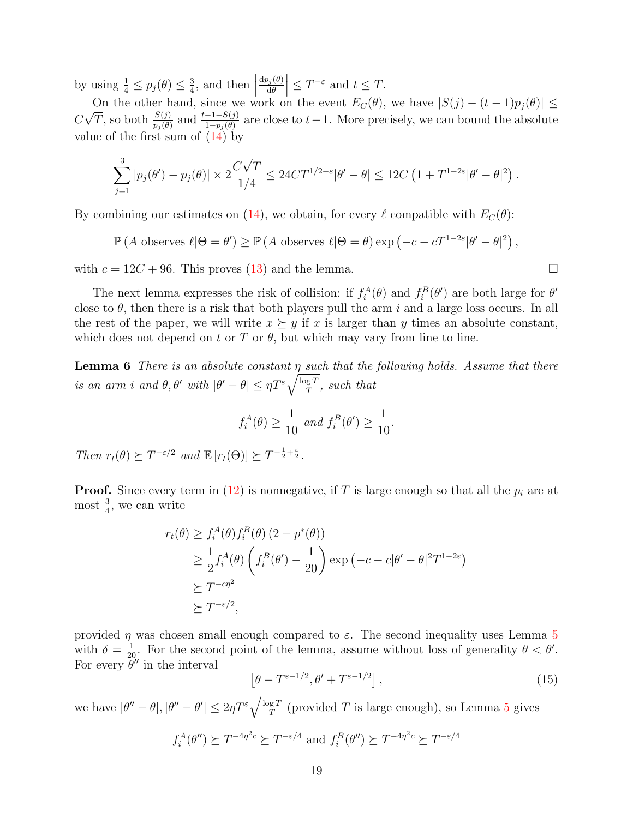by using  $\frac{1}{4} \leq p_j(\theta) \leq \frac{3}{4}$  $\frac{3}{4}$ , and then  $\Big|$  ${\rm d}p_j(\theta)$  $d\theta$  $\vert \leq T^{-\varepsilon}$  and  $t \leq T$ .

On the other hand, since we work on the event  $E_C(\theta)$ , we have  $|S(j) - (t-1)p_j(\theta)| \le$  $\mathcal{C}_{0}^{(n)}$ On the other hand, since we work on the event  $E_C(v)$ , we have  $|\mathcal{O}(f) - (t-1)p_j(v)| \ge \sqrt{T}$ , so both  $\frac{S(j)}{p_j(\theta)}$  and  $\frac{t-1-S(j)}{1-p_j(\theta)}$  are close to  $t-1$ . More precisely, we can bound the absolute value of the first sum of  $(14)$  by

$$
\sum_{j=1}^3 |p_j(\theta') - p_j(\theta)| \times 2 \frac{C\sqrt{T}}{1/4} \le 24CT^{1/2-\varepsilon} |\theta' - \theta| \le 12C \left(1 + T^{1-2\varepsilon} |\theta' - \theta|^2\right).
$$

By combining our estimates on [\(14\)](#page-17-0), we obtain, for every  $\ell$  compatible with  $E_C(\theta)$ :

 $\mathbb{P}(A \text{ observes } \ell | \Theta = \theta') \ge \mathbb{P}(A \text{ observes } \ell | \Theta = \theta) \exp (-c - cT^{1-2\varepsilon}|\theta' - \theta|^2),$ 

with  $c = 12C + 96$ . This proves [\(13\)](#page-17-1) and the lemma.

The next lemma expresses the risk of collision: if  $f_i^A(\theta)$  and  $f_i^B(\theta')$  are both large for  $\theta'$ close to  $\theta$ , then there is a risk that both players pull the arm i and a large loss occurs. In all the rest of the paper, we will write  $x \succeq y$  if x is larger than y times an absolute constant, which does not depend on t or T or  $\theta$ , but which may vary from line to line.

<span id="page-18-1"></span>**Lemma 6** There is an absolute constant  $\eta$  such that the following holds. Assume that there is an arm i and  $\theta$ ,  $\theta'$  with  $|\theta' - \theta| \leq \eta T^{\varepsilon} \sqrt{\frac{\log T}{T}}$  $\frac{gT}{T}$ , such that

$$
f_i^A(\theta) \ge \frac{1}{10} \text{ and } f_i^B(\theta') \ge \frac{1}{10}.
$$

Then  $r_t(\theta) \succeq T^{-\varepsilon/2}$  and  $\mathbb{E}[r_t(\Theta)] \succeq T^{-\frac{1}{2}+\frac{\varepsilon}{2}}$ .

**Proof.** Since every term in [\(12\)](#page-16-0) is nonnegative, if T is large enough so that all the  $p_i$  are at most  $\frac{3}{4}$ , we can write

$$
r_t(\theta) \ge f_i^A(\theta) f_i^B(\theta) (2 - p^*(\theta))
$$
  
\n
$$
\ge \frac{1}{2} f_i^A(\theta) \left( f_i^B(\theta') - \frac{1}{20} \right) \exp \left( -c - c |\theta' - \theta|^2 T^{1-2\varepsilon} \right)
$$
  
\n
$$
\ge T^{-c\eta^2}
$$
  
\n
$$
\ge T^{-\varepsilon/2},
$$

provided  $\eta$  was chosen small enough compared to  $\varepsilon$ . The second inequality uses Lemma [5](#page-17-2) with  $\delta = \frac{1}{20}$ . For the second point of the lemma, assume without loss of generality  $\theta < \theta'$ . For every  $\tilde{\theta}''$  in the interval

<span id="page-18-0"></span>
$$
\left[\theta - T^{\varepsilon - 1/2}, \theta' + T^{\varepsilon - 1/2}\right],\tag{15}
$$

we have  $|\theta'' - \theta|, |\theta'' - \theta'| \leq 2\eta T^{\varepsilon} \sqrt{\frac{\log T}{T}}$  $\frac{gT}{T}$  (provided T is large enough), so Lemma [5](#page-17-2) gives

$$
f_i^A(\theta'') \succeq T^{-4\eta^2 c} \succeq T^{-\varepsilon/4}
$$
 and  $f_i^B(\theta'') \succeq T^{-4\eta^2 c} \succeq T^{-\varepsilon/4}$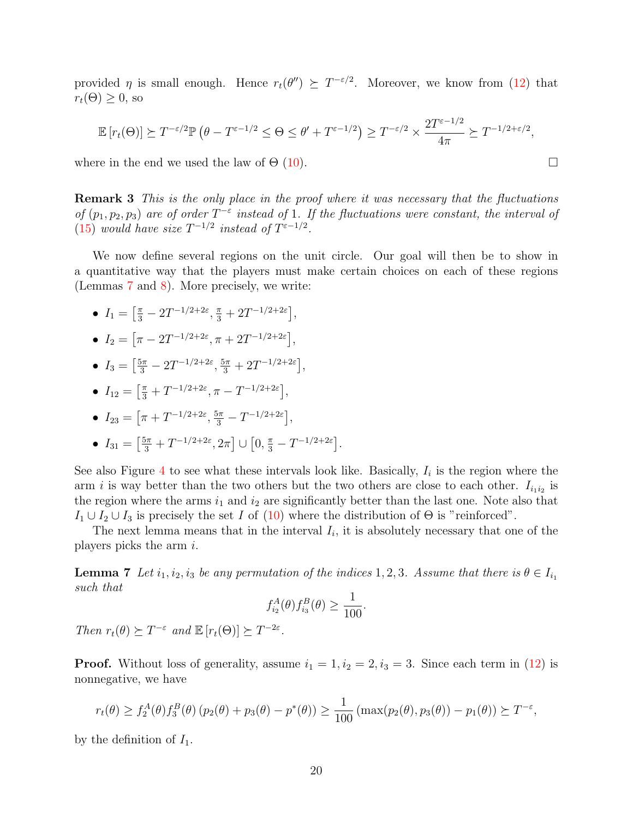provided  $\eta$  is small enough. Hence  $r_t(\theta'') \succeq T^{-\varepsilon/2}$ . Moreover, we know from [\(12\)](#page-16-0) that  $r_t(\Theta) \geq 0$ , so

$$
\mathbb{E}\left[r_t(\Theta)\right] \succeq T^{-\varepsilon/2} \mathbb{P}\left(\theta - T^{\varepsilon - 1/2} \leq \Theta \leq \theta' + T^{\varepsilon - 1/2}\right) \geq T^{-\varepsilon/2} \times \frac{2T^{\varepsilon - 1/2}}{4\pi} \succeq T^{-1/2 + \varepsilon/2},
$$

where in the end we used the law of  $\Theta$  [\(10\)](#page-16-1).

**Remark 3** This is the only place in the proof where it was necessary that the fluctuations of  $(p_1, p_2, p_3)$  are of order  $T^{-\varepsilon}$  instead of 1. If the fluctuations were constant, the interval of [\(15\)](#page-18-0) would have size  $T^{-1/2}$  instead of  $T^{\varepsilon-1/2}$ .

We now define several regions on the unit circle. Our goal will then be to show in a quantitative way that the players must make certain choices on each of these regions (Lemmas [7](#page-19-0) and [8\)](#page-20-0). More precisely, we write:

- $I_1 = \left[\frac{\pi}{3} 2T^{-1/2+2\varepsilon}, \frac{\pi}{3} + 2T^{-1/2+2\varepsilon}\right],$
- $I_2 = \left[ \pi 2T^{-1/2+2\varepsilon}, \pi + 2T^{-1/2+2\varepsilon} \right],$
- $I_3 = \left[\frac{5\pi}{3} 2T^{-1/2+2\varepsilon}, \frac{5\pi}{3} + 2T^{-1/2+2\varepsilon}\right],$
- $I_{12} = \left[\frac{\pi}{3} + T^{-1/2+2\varepsilon}, \pi T^{-1/2+2\varepsilon}\right],$
- $I_{23} = \left[ \pi + T^{-1/2+2\varepsilon}, \frac{5\pi}{3} T^{-1/2+2\varepsilon} \right],$
- $I_{31} = \left[\frac{5\pi}{3} + T^{-1/2+2\varepsilon}, 2\pi\right] \cup \left[0, \frac{\pi}{3} T^{-1/2+2\varepsilon}\right].$

See also Figure [4](#page-20-1) to see what these intervals look like. Basically,  $I_i$  is the region where the arm *i* is way better than the two others but the two others are close to each other.  $I_{i_1 i_2}$  is the region where the arms  $i_1$  and  $i_2$  are significantly better than the last one. Note also that  $I_1 \cup I_2 \cup I_3$  is precisely the set I of [\(10\)](#page-16-1) where the distribution of  $\Theta$  is "reinforced".

The next lemma means that in the interval  $I_i$ , it is absolutely necessary that one of the players picks the arm  $i$ .

<span id="page-19-0"></span>**Lemma 7** Let  $i_1, i_2, i_3$  be any permutation of the indices 1, 2, 3. Assume that there is  $\theta \in I_{i_1}$ such that

$$
f_{i_2}^A(\theta) f_{i_3}^B(\theta) \ge \frac{1}{100}.
$$

Then  $r_t(\theta) \succeq T^{-\varepsilon}$  and  $\mathbb{E}[r_t(\Theta)] \succeq T^{-2\varepsilon}$ .

**Proof.** Without loss of generality, assume  $i_1 = 1, i_2 = 2, i_3 = 3$ . Since each term in [\(12\)](#page-16-0) is nonnegative, we have

$$
r_t(\theta) \ge f_2^A(\theta) f_3^B(\theta) (p_2(\theta) + p_3(\theta) - p^*(\theta)) \ge \frac{1}{100} (\max(p_2(\theta), p_3(\theta)) - p_1(\theta)) \succeq T^{-\varepsilon},
$$

by the definition of  $I_1$ .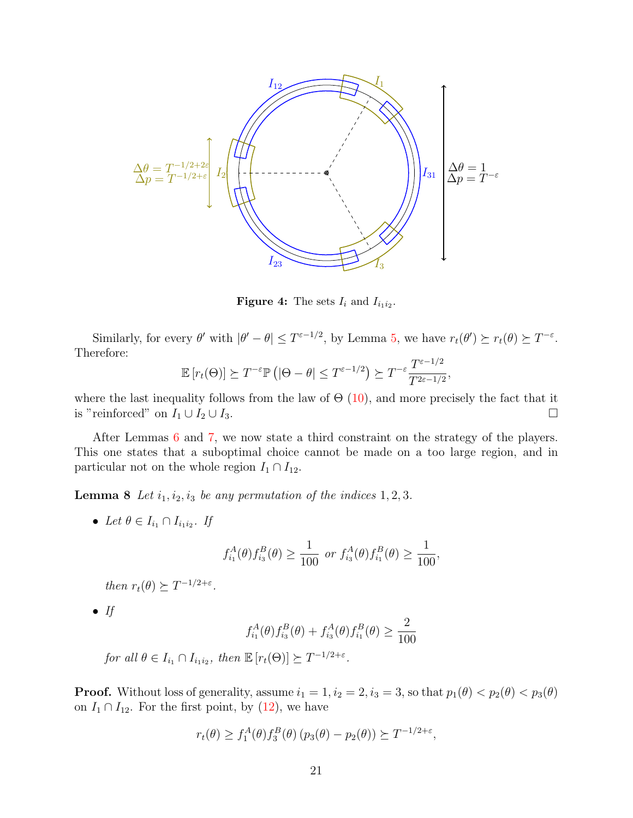<span id="page-20-1"></span>

**Figure 4:** The sets  $I_i$  and  $I_{i_1 i_2}$ .

Similarly, for every  $\theta'$  with  $|\theta' - \theta| \leq T^{\epsilon - 1/2}$ , by Lemma [5,](#page-17-2) we have  $r_t(\theta') \succeq r_t(\theta) \succeq T^{-\epsilon}$ . Therefore:

$$
\mathbb{E}\left[r_t(\Theta)\right] \succeq T^{-\varepsilon} \mathbb{P}\left(|\Theta - \theta| \leq T^{\varepsilon - 1/2}\right) \succeq T^{-\varepsilon} \frac{T^{\varepsilon - 1/2}}{T^{2\varepsilon - 1/2}},
$$

where the last inequality follows from the law of  $\Theta$  [\(10\)](#page-16-1), and more precisely the fact that it is "reinforced" on  $I_1 \cup I_2 \cup I_3$ .

After Lemmas [6](#page-18-1) and [7,](#page-19-0) we now state a third constraint on the strategy of the players. This one states that a suboptimal choice cannot be made on a too large region, and in particular not on the whole region  $I_1 \cap I_{12}$ .

<span id="page-20-0"></span>**Lemma 8** Let  $i_1, i_2, i_3$  be any permutation of the indices  $1, 2, 3$ .

• Let  $\theta \in I_{i_1} \cap I_{i_1 i_2}$ . If

$$
f_{i_1}^A(\theta) f_{i_3}^B(\theta) \ge \frac{1}{100}
$$
 or  $f_{i_3}^A(\theta) f_{i_1}^B(\theta) \ge \frac{1}{100}$ ,

then  $r_t(\theta) \succeq T^{-1/2+\varepsilon}$ .

 $\bullet$  If

$$
f_{i_1}^A(\theta) f_{i_3}^B(\theta) + f_{i_3}^A(\theta) f_{i_1}^B(\theta) \ge \frac{2}{100}
$$

for all  $\theta \in I_{i_1} \cap I_{i_1 i_2}$ , then  $\mathbb{E}\left[r_t(\Theta)\right] \succeq T^{-1/2+\varepsilon}$ .

**Proof.** Without loss of generality, assume  $i_1 = 1$ ,  $i_2 = 2$ ,  $i_3 = 3$ , so that  $p_1(\theta) < p_2(\theta) < p_3(\theta)$ on  $I_1 \cap I_{12}$ . For the first point, by [\(12\)](#page-16-0), we have

$$
r_t(\theta) \ge f_1^A(\theta) f_3^B(\theta) (p_3(\theta) - p_2(\theta)) \succeq T^{-1/2 + \varepsilon},
$$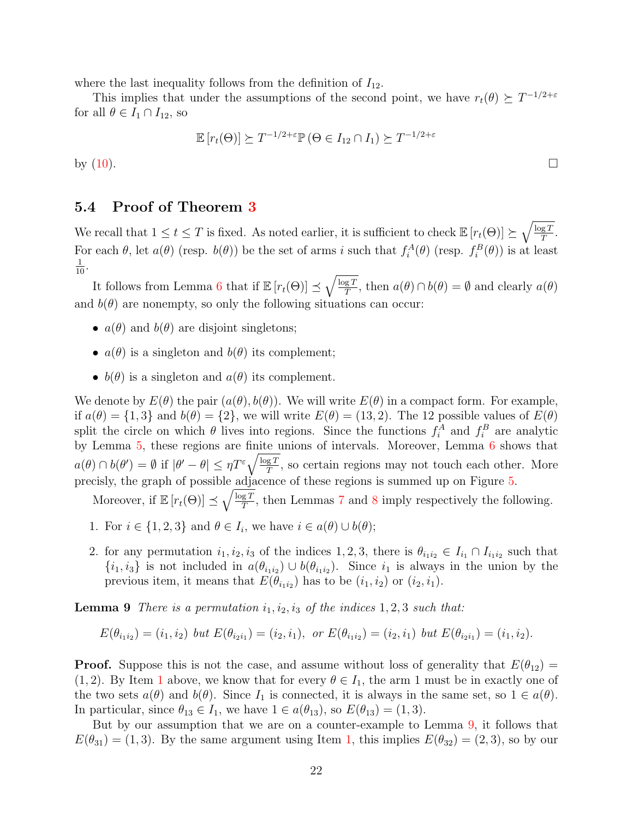where the last inequality follows from the definition of  $I_{12}$ .

This implies that under the assumptions of the second point, we have  $r_t(\theta) \succeq T^{-1/2+\varepsilon}$ for all  $\theta \in I_1 \cap I_{12}$ , so

$$
\mathbb{E}\left[r_t(\Theta)\right] \succeq T^{-1/2+\varepsilon} \mathbb{P}\left(\Theta \in I_{12} \cap I_1\right) \succeq T^{-1/2+\varepsilon}
$$

by  $(10)$ .

## 5.4 Proof of Theorem [3](#page-3-1)

We recall that  $1 \le t \le T$  is fixed. As noted earlier, it is sufficient to check  $\mathbb{E}\left[r_t(\Theta)\right] \succeq \sqrt{\frac{\log T}{T}}$  $\frac{{\rm g}\,T}{T}.$ For each  $\theta$ , let  $a(\theta)$  (resp.  $b(\theta)$ ) be the set of arms i such that  $f_i^A(\theta)$  (resp.  $f_i^B(\theta)$ ) is at least  $\frac{1}{10}$ .

It follows from Lemma [6](#page-18-1) that if  $\mathbb{E}\left[r_t(\Theta)\right] \preceq \sqrt{\frac{\log T}{T}}$  $\frac{gT}{T}$ , then  $a(\theta) \cap b(\theta) = \emptyset$  and clearly  $a(\theta)$ and  $b(\theta)$  are nonempty, so only the following situations can occur:

- $a(\theta)$  and  $b(\theta)$  are disjoint singletons;
- $a(\theta)$  is a singleton and  $b(\theta)$  its complement;
- $b(\theta)$  is a singleton and  $a(\theta)$  its complement.

We denote by  $E(\theta)$  the pair  $(a(\theta), b(\theta))$ . We will write  $E(\theta)$  in a compact form. For example, if  $a(\theta) = \{1,3\}$  and  $b(\theta) = \{2\}$ , we will write  $E(\theta) = (13, 2)$ . The 12 possible values of  $E(\theta)$ split the circle on which  $\theta$  lives into regions. Since the functions  $f_i^A$  and  $f_i^B$  are analytic by Lemma [5,](#page-17-2) these regions are finite unions of intervals. Moreover, Lemma [6](#page-18-1) shows that  $a(\theta) \cap b(\theta') = \emptyset$  if  $|\theta' - \theta| \leq \eta T^{\varepsilon} \sqrt{\frac{\log T}{T}}$  $\frac{gT}{T}$ , so certain regions may not touch each other. More precisly, the graph of possible adjacence of these regions is summed up on Figure [5.](#page-22-0)

Moreover, if  $\mathbb{E}\left[r_t(\Theta)\right] \preceq \sqrt{\frac{\log T}{T}}$  $\frac{gT}{T}$ , then Lemmas [7](#page-19-0) and [8](#page-20-0) imply respectively the following.

- <span id="page-21-1"></span>1. For  $i \in \{1, 2, 3\}$  and  $\theta \in I_i$ , we have  $i \in a(\theta) \cup b(\theta)$ ;
- 2. for any permutation  $i_1, i_2, i_3$  of the indices 1, 2, 3, there is  $\theta_{i_1 i_2} \in I_{i_1} \cap I_{i_1 i_2}$  such that  $\{i_1, i_3\}$  is not included in  $a(\theta_{i_1 i_2}) \cup b(\theta_{i_1 i_2})$ . Since  $i_1$  is always in the union by the previous item, it means that  $E(\theta_{i_1 i_2})$  has to be  $(i_1, i_2)$  or  $(i_2, i_1)$ .

<span id="page-21-0"></span>**Lemma 9** There is a permutation  $i_1, i_2, i_3$  of the indices 1, 2, 3 such that:

$$
E(\theta_{i_1 i_2}) = (i_1, i_2) \text{ but } E(\theta_{i_2 i_1}) = (i_2, i_1), \text{ or } E(\theta_{i_1 i_2}) = (i_2, i_1) \text{ but } E(\theta_{i_2 i_1}) = (i_1, i_2).
$$

**Proof.** Suppose this is not the case, and assume without loss of generality that  $E(\theta_{12}) =$ ([1](#page-21-1), 2). By Item 1 above, we know that for every  $\theta \in I_1$ , the arm 1 must be in exactly one of the two sets  $a(\theta)$  and  $b(\theta)$ . Since  $I_1$  is connected, it is always in the same set, so  $1 \in a(\theta)$ . In particular, since  $\theta_{13} \in I_1$ , we have  $1 \in a(\theta_{13})$ , so  $E(\theta_{13}) = (1, 3)$ .

But by our assumption that we are on a counter-example to Lemma [9,](#page-21-0) it follows that  $E(\theta_{31}) = (1,3)$  $E(\theta_{31}) = (1,3)$  $E(\theta_{31}) = (1,3)$ . By the same argument using Item 1, this implies  $E(\theta_{32}) = (2,3)$ , so by our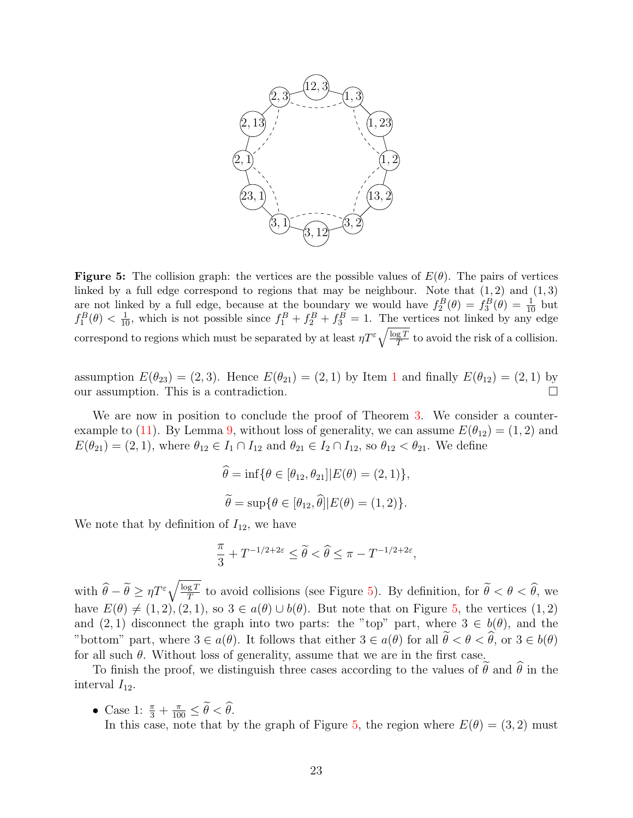<span id="page-22-0"></span>

**Figure 5:** The collision graph: the vertices are the possible values of  $E(\theta)$ . The pairs of vertices linked by a full edge correspond to regions that may be neighbour. Note that  $(1, 2)$  and  $(1, 3)$ are not linked by a full edge, because at the boundary we would have  $f_2^B(\theta) = f_3^B(\theta) = \frac{1}{10}$  but  $f_1^B(\theta) < \frac{1}{10}$ , which is not possible since  $f_1^B + f_2^B + f_3^B = 1$ . The vertices not linked by any edge correspond to regions which must be separated by at least  $\eta T^{\varepsilon} \sqrt{\frac{\log T}{T}}$  $\frac{gT}{T}$  to avoid the risk of a collision.

assumption  $E(\theta_{23}) = (2, 3)$ . Hence  $E(\theta_{21}) = (2, 1)$  $E(\theta_{21}) = (2, 1)$  $E(\theta_{21}) = (2, 1)$  by Item 1 and finally  $E(\theta_{12}) = (2, 1)$  by our assumption. This is a contradiction.

We are now in position to conclude the proof of Theorem [3.](#page-3-1) We consider a counter-example to [\(11\)](#page-16-2). By Lemma [9,](#page-21-0) without loss of generality, we can assume  $E(\theta_{12}) = (1, 2)$  and  $E(\theta_{21}) = (2, 1)$ , where  $\theta_{12} \in I_1 \cap I_{12}$  and  $\theta_{21} \in I_2 \cap I_{12}$ , so  $\theta_{12} < \theta_{21}$ . We define

$$
\hat{\theta} = \inf \{ \theta \in [\theta_{12}, \theta_{21}] | E(\theta) = (2, 1) \},
$$
  

$$
\tilde{\theta} = \sup \{ \theta \in [\theta_{12}, \hat{\theta}] | E(\theta) = (1, 2) \}.
$$

We note that by definition of  $I_{12}$ , we have

$$
\frac{\pi}{3} + T^{-1/2+2\varepsilon} \le \widetilde{\theta} < \widehat{\theta} \le \pi - T^{-1/2+2\varepsilon},
$$

with  $\widehat{\theta} - \widetilde{\theta} \geq \eta T^{\varepsilon} \sqrt{\frac{\log T}{T}}$  $\frac{gT}{T}$  to avoid collisions (see Figure [5\)](#page-22-0). By definition, for  $\theta < \theta < \theta$ , we have  $E(\theta) \neq (1, 2), (2, 1),$  so  $3 \in a(\theta) \cup b(\theta)$ . But note that on Figure [5,](#page-22-0) the vertices  $(1, 2)$ and  $(2, 1)$  disconnect the graph into two parts: the "top" part, where  $3 \in b(\theta)$ , and the "bottom" part, where  $3 \in a(\theta)$ . It follows that either  $3 \in a(\theta)$  for all  $\tilde{\theta} < \theta < \hat{\theta}$ , or  $3 \in b(\theta)$ for all such  $\theta$ . Without loss of generality, assume that we are in the first case.

To finish the proof, we distinguish three cases according to the values of  $\theta$  and  $\theta$  in the interval  $I_{12}$ .

• Case 1:  $\frac{\pi}{3} + \frac{\pi}{100} \leq \hat{\theta} < \hat{\theta}$ . In this case, note that by the graph of Figure [5,](#page-22-0) the region where  $E(\theta) = (3, 2)$  must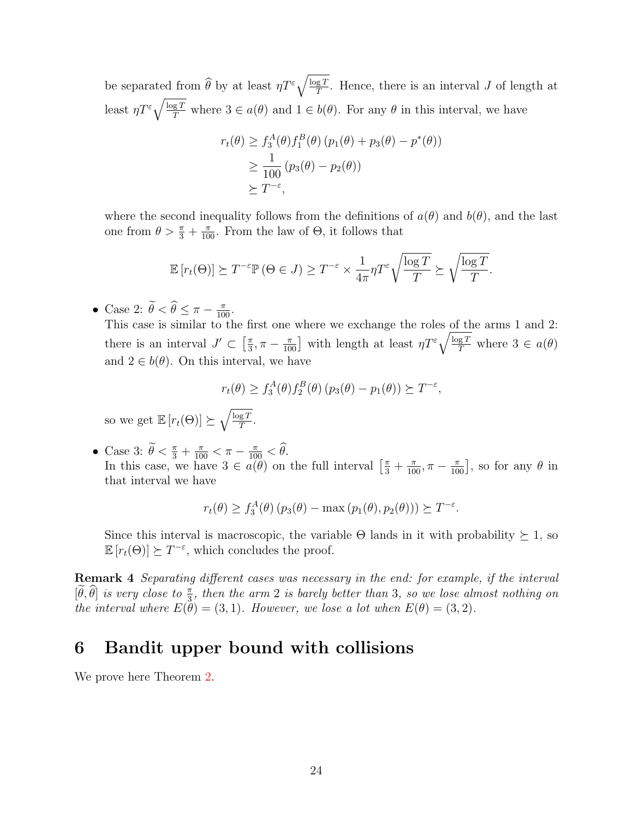be separated from  $\widehat{\theta}$  by at least  $\eta T^{\varepsilon} \sqrt{\frac{\log T}{T}}$  $\frac{gT}{T}$ . Hence, there is an interval J of length at least  $\eta T^{\varepsilon} \sqrt{\frac{\log T}{T}}$  where  $3 \in a(\theta)$  and  $1 \in b(\theta)$ . For any  $\theta$  in this interval, we have

$$
r_t(\theta) \ge f_3^A(\theta) f_1^B(\theta) (p_1(\theta) + p_3(\theta) - p^*(\theta))
$$
  
\n
$$
\ge \frac{1}{100} (p_3(\theta) - p_2(\theta))
$$
  
\n
$$
\ge T^{-\epsilon},
$$

where the second inequality follows from the definitions of  $a(\theta)$  and  $b(\theta)$ , and the last one from  $\theta > \frac{\pi}{3} + \frac{\pi}{100}$ . From the law of  $\Theta$ , it follows that

$$
\mathbb{E}\left[r_t(\Theta)\right] \succeq T^{-\varepsilon} \mathbb{P}\left(\Theta \in J\right) \geq T^{-\varepsilon} \times \frac{1}{4\pi} \eta T^{\varepsilon} \sqrt{\frac{\log T}{T}} \succeq \sqrt{\frac{\log T}{T}}.
$$

• Case 2:  $\hat{\theta} < \hat{\theta} \leq \pi - \frac{\pi}{100}$ .

This case is similar to the first one where we exchange the roles of the arms 1 and 2: there is an interval  $J' \subset \left[\frac{\pi}{3}\right]$  $\frac{\pi}{3}, \pi - \frac{\pi}{100}$  with length at least  $\eta T^{\varepsilon} \sqrt{\frac{\log T}{T}}$  where  $3 \in a(\theta)$ and  $2 \in b(\theta)$ . On this interval, we have

$$
r_t(\theta) \ge f_3^A(\theta) f_2^B(\theta) (p_3(\theta) - p_1(\theta)) \succeq T^{-\varepsilon},
$$

so we get  $\mathbb{E}\left[r_t(\Theta)\right] \succeq \sqrt{\frac{\log T}{T}}$  $\frac{{\rm g}\,T}{T}$  .

• Case 3:  $\theta < \frac{\pi}{3} + \frac{\pi}{100} < \pi - \frac{\pi}{100} < \theta$ . In this case, we have  $3 \in a(\theta)$  on the full interval  $\left[\frac{\pi}{3} + \frac{\pi}{100}, \pi - \frac{\pi}{100}\right]$ , so for any  $\theta$  in that interval we have

$$
r_t(\theta) \ge f_3^A(\theta) (p_3(\theta) - \max (p_1(\theta), p_2(\theta))) \succeq T^{-\varepsilon}.
$$

Since this interval is macroscopic, the variable  $\Theta$  lands in it with probability  $\succeq 1$ , so  $\mathbb{E}\left[r_t(\Theta)\right] \succeq T^{-\varepsilon}$ , which concludes the proof.

Remark 4 Separating different cases was necessary in the end: for example, if the interval  $[\tilde{\theta}, \tilde{\theta}]$  is very close to  $\frac{\pi}{3}$ , then the arm 2 is barely better than 3, so we lose almost nothing on the interval where  $E(\tilde{\theta}) = (3, 1)$ . However, we lose a lot when  $E(\theta) = (3, 2)$ .

# <span id="page-23-0"></span>6 Bandit upper bound with collisions

We prove here Theorem [2.](#page-2-0)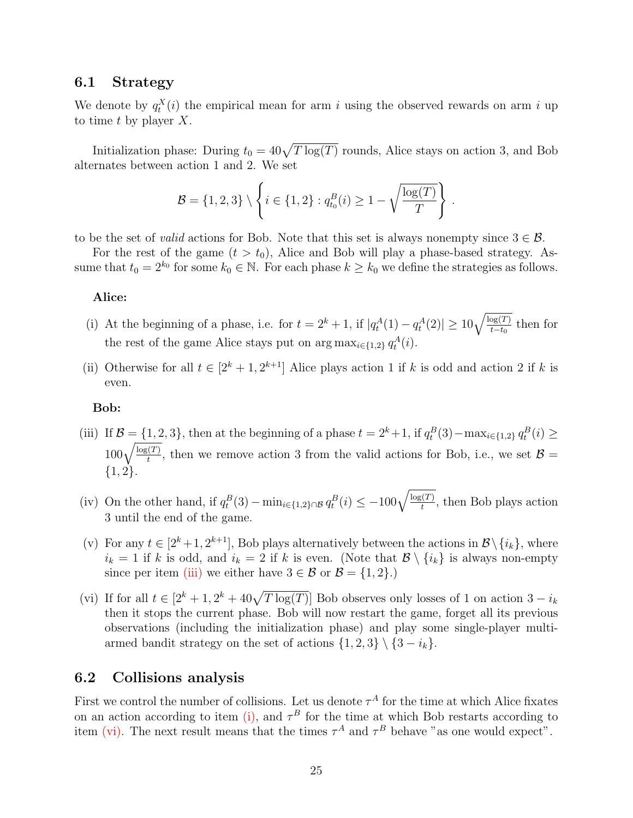### 6.1 Strategy

We denote by  $q_t^X(i)$  the empirical mean for arm i using the observed rewards on arm i up to time t by player  $X$ .

Initialization phase: During  $t_0 = 40\sqrt{T \log(T)}$  rounds, Alice stays on action 3, and Bob alternates between action 1 and 2. We set

$$
\mathcal{B} = \{1, 2, 3\} \setminus \left\{ i \in \{1, 2\} : q_{t_0}^B(i) \ge 1 - \sqrt{\frac{\log(T)}{T}} \right\}
$$

.

to be the set of *valid* actions for Bob. Note that this set is always nonempty since  $3 \in \mathcal{B}$ .

For the rest of the game  $(t > t_0)$ , Alice and Bob will play a phase-based strategy. Assume that  $t_0 = 2^{k_0}$  for some  $k_0 \in \mathbb{N}$ . For each phase  $k \geq k_0$  we define the strategies as follows.

### Alice:

- <span id="page-24-1"></span>(i) At the beginning of a phase, i.e. for  $t = 2^k + 1$ , if  $|q_t^A(1) - q_t^A(2)| \ge 10\sqrt{\frac{\log(T)}{t-t_0}}$  then for the rest of the game Alice stays put on  $\arg \max_{i \in \{1,2\}} q_t^A(i)$ .
- (ii) Otherwise for all  $t \in [2^k + 1, 2^{k+1}]$  Alice plays action 1 if k is odd and action 2 if k is even.

### Bob:

- <span id="page-24-0"></span>(iii) If  $\mathcal{B} = \{1, 2, 3\}$ , then at the beginning of a phase  $t = 2^k + 1$ , if  $q_t^B(3) - \max_{i \in \{1, 2\}} q_t^B(i) \ge$  $100\sqrt{\frac{\log(T)}{t}}$ , then we remove action 3 from the valid actions for Bob, i.e., we set  $\mathcal{B} =$ {1, 2}.
- <span id="page-24-3"></span>(iv) On the other hand, if  $q_t^B(3) - \min_{i \in \{1,2\} \cap \mathcal{B}} q_t^B(i) \leq -100 \sqrt{\frac{\log(T)}{t}}$ , then Bob plays action 3 until the end of the game.
- (v) For any  $t \in [2^k+1, 2^{k+1}]$ , Bob plays alternatively between the actions in  $\mathcal{B} \setminus \{i_k\}$ , where  $i_k = 1$  if k is odd, and  $i_k = 2$  if k is even. (Note that  $\mathcal{B} \setminus \{i_k\}$  is always non-empty since per item [\(iii\)](#page-24-0) we either have  $3 \in \mathcal{B}$  or  $\mathcal{B} = \{1, 2\}$ .)
- <span id="page-24-2"></span>(vi) If for all  $t \in [2^k + 1, 2^k + 40\sqrt{T \log(T)}]$  Bob observes only losses of 1 on action  $3 - i_k$ then it stops the current phase. Bob will now restart the game, forget all its previous observations (including the initialization phase) and play some single-player multiarmed bandit strategy on the set of actions  $\{1, 2, 3\} \setminus \{3 - i_k\}.$

### 6.2 Collisions analysis

<span id="page-24-4"></span>First we control the number of collisions. Let us denote  $\tau^A$  for the time at which Alice fixates on an action according to item [\(i\),](#page-24-1) and  $\tau^B$  for the time at which Bob restarts according to item [\(vi\).](#page-24-2) The next result means that the times  $\tau^A$  and  $\tau^B$  behave "as one would expect".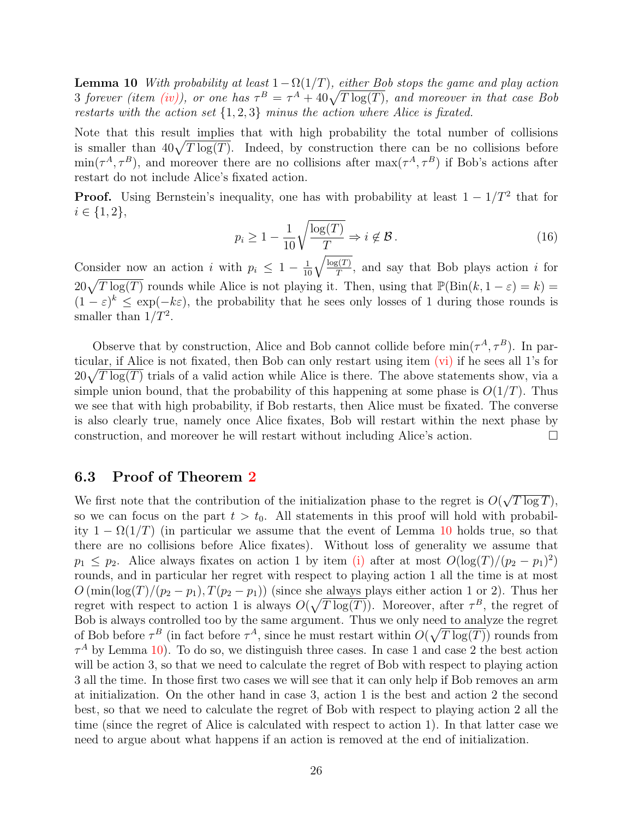**Lemma 10** With probability at least  $1 - \Omega(1/T)$ , either Bob stops the game and play action 3 forever (item [\(iv\)\)](#page-24-3), or one has  $\tau^B = \tau^A + 40\sqrt{T \log(T)}$ , and moreover in that case Bob restarts with the action set  $\{1, 2, 3\}$  minus the action where Alice is fixated.

Note that this result implies that with high probability the total number of collisions is smaller than  $40\sqrt{T \log(T)}$ . Indeed, by construction there can be no collisions before  $\min(\tau^A, \tau^B)$ , and moreover there are no collisions after  $\max(\tau^A, \tau^B)$  if Bob's actions after restart do not include Alice's fixated action.

<span id="page-25-0"></span>**Proof.** Using Bernstein's inequality, one has with probability at least  $1 - 1/T^2$  that for  $i \in \{1, 2\},\$ 

$$
p_i \ge 1 - \frac{1}{10} \sqrt{\frac{\log(T)}{T}} \Rightarrow i \notin \mathcal{B}.
$$
 (16)

Consider now an action i with  $p_i \leq 1 - \frac{1}{10} \sqrt{\frac{\log(T)}{T}}$ , and say that Bob plays action i for  $20\sqrt{T \log(T)}$  rounds while Alice is not playing it. Then, using that  $\mathbb{P}(\text{Bin}(k, 1-\varepsilon) = k)$  $(1 - \varepsilon)^k \leq \exp(-k\varepsilon)$ , the probability that he sees only losses of 1 during those rounds is smaller than  $1/T^2$ .

Observe that by construction, Alice and Bob cannot collide before  $\min(\tau^A, \tau^B)$ . In particular, if Alice is not fixated, then Bob can only restart using item [\(vi\)](#page-24-2) if he sees all 1's for  $20\sqrt{T \log(T)}$  trials of a valid action while Alice is there. The above statements show, via a simple union bound, that the probability of this happening at some phase is  $O(1/T)$ . Thus we see that with high probability, if Bob restarts, then Alice must be fixated. The converse is also clearly true, namely once Alice fixates, Bob will restart within the next phase by construction, and moreover he will restart without including Alice's action.

### 6.3 Proof of Theorem [2](#page-2-0)

We first note that the contribution of the initialization phase to the regret is  $O($ √  $T\log T$ ), so we can focus on the part  $t > t_0$ . All statements in this proof will hold with probability  $1 - \Omega(1/T)$  (in particular we assume that the event of Lemma [10](#page-24-4) holds true, so that there are no collisions before Alice fixates). Without loss of generality we assume that  $p_1 \leq p_2$ . Alice always fixates on action 1 by item [\(i\)](#page-24-1) after at most  $O(\log(T)/(p_2 - p_1)^2)$ rounds, and in particular her regret with respect to playing action 1 all the time is at most  $O(\min(\log(T)/(p_2 - p_1), T(p_2 - p_1))$  (since she always plays either action 1 or 2). Thus her regret with respect to action 1 is always  $O(\sqrt{T \log(T)})$ . Moreover, after  $\tau^B$ , the regret of Bob is always controlled too by the same argument. Thus we only need to analyze the regret of Bob before  $\tau^B$  (in fact before  $\tau^A$ , since he must restart within  $O(\sqrt{T \log(T)})$  rounds from  $\tau^A$  by Lemma [10\)](#page-24-4). To do so, we distinguish three cases. In case 1 and case 2 the best action will be action 3, so that we need to calculate the regret of Bob with respect to playing action 3 all the time. In those first two cases we will see that it can only help if Bob removes an arm at initialization. On the other hand in case 3, action 1 is the best and action 2 the second best, so that we need to calculate the regret of Bob with respect to playing action 2 all the time (since the regret of Alice is calculated with respect to action 1). In that latter case we need to argue about what happens if an action is removed at the end of initialization.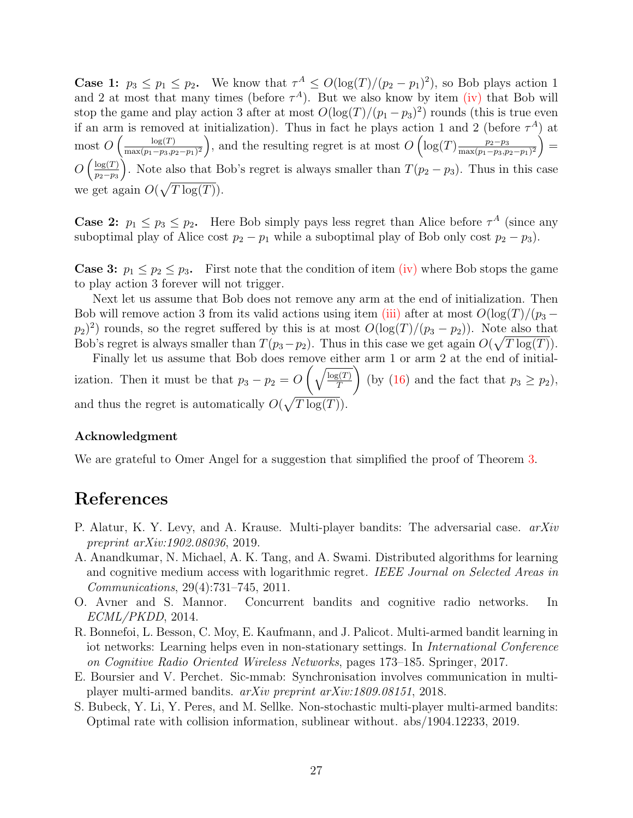**Case 1:**  $p_3 \leq p_1 \leq p_2$ . We know that  $\tau^A \leq O(\log(T)/(p_2 - p_1)^2)$ , so Bob plays action 1 and 2 at most that many times (before  $\tau^A$ ). But we also know by item [\(iv\)](#page-24-3) that Bob will stop the game and play action 3 after at most  $O(\log(T)/(p_1 - p_3)^2)$  rounds (this is true even if an arm is removed at initialization). Thus in fact he plays action 1 and 2 (before  $\tau^A$ ) at most  $O\left(\frac{\log(T)}{\max(n-m,n)}\right)$  $\frac{\log(T)}{\max(p_1-p_3,p_2-p_1)^2}$ , and the resulting regret is at most  $O\left(\log(T)\frac{p_2-p_3}{\max(p_1-p_3,p_2-p_1)^2}\right)$  $\frac{p_2-p_3}{\max(p_1-p_3,p_2-p_1)^2}$  =  $O\left(\frac{\log(T)}{n_0-n_0}\right)$  $p_2-p_3$ ). Note also that Bob's regret is always smaller than  $T(p_2 - p_3)$ . Thus in this case we get again  $O(\sqrt{T \log(T)})$ .

**Case 2:**  $p_1 \leq p_3 \leq p_2$ . Here Bob simply pays less regret than Alice before  $\tau^A$  (since any suboptimal play of Alice cost  $p_2 - p_1$  while a suboptimal play of Bob only cost  $p_2 - p_3$ ).

**Case 3:**  $p_1 \leq p_2 \leq p_3$ . First note that the condition of item [\(iv\)](#page-24-3) where Bob stops the game to play action 3 forever will not trigger.

Next let us assume that Bob does not remove any arm at the end of initialization. Then Bob will remove action 3 from its valid actions using item [\(iii\)](#page-24-0) after at most  $O(\log(T)/(\mathfrak{p}_3 (p_2)^2$  rounds, so the regret suffered by this is at most  $O(\log(T)/(p_3 - p_2))$ . Note also that Bob's regret is always smaller than  $T(p_3-p_2)$ . Thus in this case we get again  $O(\sqrt{T \log(T)})$ .

Finally let us assume that Bob does remove either arm 1 or arm 2 at the end of initialization. Then it must be that  $p_3 - p_2 = O\left(\sqrt{\frac{\log(T)}{T}}\right)$ T  $\setminus$ (by [\(16\)](#page-25-0) and the fact that  $p_3 \geq p_2$ ), and thus the regret is automatically  $O(\sqrt{T \log(T)})$ .

#### Acknowledgment

We are grateful to Omer Angel for a suggestion that simplified the proof of Theorem [3.](#page-3-1)

# References

- <span id="page-26-1"></span>P. Alatur, K. Y. Levy, and A. Krause. Multi-player bandits: The adversarial case.  $arXiv$ preprint arXiv:1902.08036, 2019.
- <span id="page-26-0"></span>A. Anandkumar, N. Michael, A. K. Tang, and A. Swami. Distributed algorithms for learning and cognitive medium access with logarithmic regret. IEEE Journal on Selected Areas in Communications, 29(4):731–745, 2011.
- <span id="page-26-2"></span>O. Avner and S. Mannor. Concurrent bandits and cognitive radio networks. In ECML/PKDD, 2014.
- <span id="page-26-3"></span>R. Bonnefoi, L. Besson, C. Moy, E. Kaufmann, and J. Palicot. Multi-armed bandit learning in iot networks: Learning helps even in non-stationary settings. In International Conference on Cognitive Radio Oriented Wireless Networks, pages 173–185. Springer, 2017.
- <span id="page-26-4"></span>E. Boursier and V. Perchet. Sic-mmab: Synchronisation involves communication in multiplayer multi-armed bandits. arXiv preprint arXiv:1809.08151, 2018.
- <span id="page-26-5"></span>S. Bubeck, Y. Li, Y. Peres, and M. Sellke. Non-stochastic multi-player multi-armed bandits: Optimal rate with collision information, sublinear without. abs/1904.12233, 2019.